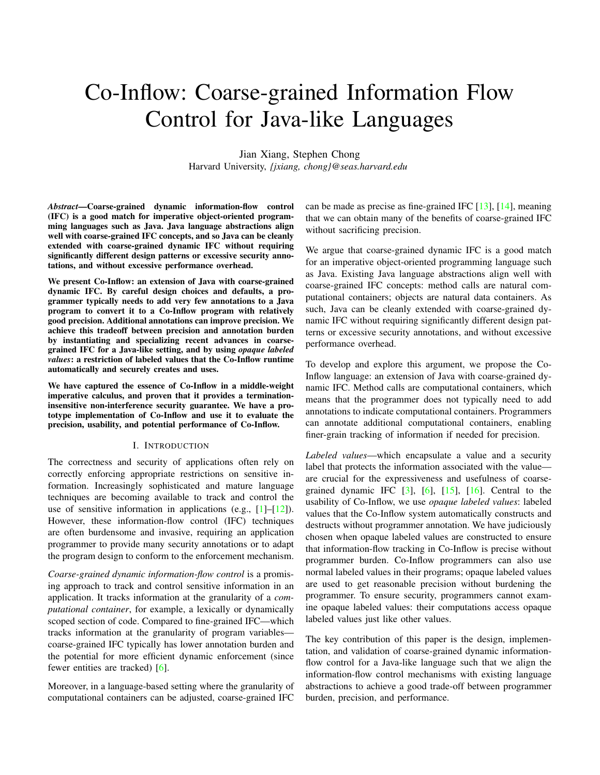# Co-Inflow: Coarse-grained Information Flow Control for Java-like Languages

Jian Xiang, Stephen Chong Harvard University, *{jxiang, chong}@seas.harvard.edu*

*Abstract*—Coarse-grained dynamic information-flow control (IFC) is a good match for imperative object-oriented programming languages such as Java. Java language abstractions align well with coarse-grained IFC concepts, and so Java can be cleanly extended with coarse-grained dynamic IFC without requiring significantly different design patterns or excessive security annotations, and without excessive performance overhead.

We present Co-Inflow: an extension of Java with coarse-grained dynamic IFC. By careful design choices and defaults, a programmer typically needs to add very few annotations to a Java program to convert it to a Co-Inflow program with relatively good precision. Additional annotations can improve precision. We achieve this tradeoff between precision and annotation burden by instantiating and specializing recent advances in coarsegrained IFC for a Java-like setting, and by using *opaque labeled values*: a restriction of labeled values that the Co-Inflow runtime automatically and securely creates and uses.

We have captured the essence of Co-Inflow in a middle-weight imperative calculus, and proven that it provides a terminationinsensitive non-interference security guarantee. We have a prototype implementation of Co-Inflow and use it to evaluate the precision, usability, and potential performance of Co-Inflow.

#### I. INTRODUCTION

The correctness and security of applications often rely on correctly enforcing appropriate restrictions on sensitive information. Increasingly sophisticated and mature language techniques are becoming available to track and control the use of sensitive information in applications (e.g.,  $[1]-[12]$  $[1]-[12]$  $[1]-[12]$ ). However, these information-flow control (IFC) techniques are often burdensome and invasive, requiring an application programmer to provide many security annotations or to adapt the program design to conform to the enforcement mechanism.

*Coarse-grained dynamic information-flow control* is a promising approach to track and control sensitive information in an application. It tracks information at the granularity of a *computational container*, for example, a lexically or dynamically scoped section of code. Compared to fine-grained IFC—which tracks information at the granularity of program variables coarse-grained IFC typically has lower annotation burden and the potential for more efficient dynamic enforcement (since fewer entities are tracked) [\[6\]](#page-13-2).

Moreover, in a language-based setting where the granularity of computational containers can be adjusted, coarse-grained IFC

can be made as precise as fine-grained IFC  $[13]$ ,  $[14]$ , meaning that we can obtain many of the benefits of coarse-grained IFC without sacrificing precision.

We argue that coarse-grained dynamic IFC is a good match for an imperative object-oriented programming language such as Java. Existing Java language abstractions align well with coarse-grained IFC concepts: method calls are natural computational containers; objects are natural data containers. As such, Java can be cleanly extended with coarse-grained dynamic IFC without requiring significantly different design patterns or excessive security annotations, and without excessive performance overhead.

To develop and explore this argument, we propose the Co-Inflow language: an extension of Java with coarse-grained dynamic IFC. Method calls are computational containers, which means that the programmer does not typically need to add annotations to indicate computational containers. Programmers can annotate additional computational containers, enabling finer-grain tracking of information if needed for precision.

*Labeled values*—which encapsulate a value and a security label that protects the information associated with the value are crucial for the expressiveness and usefulness of coarsegrained dynamic IFC  $[3]$ ,  $[6]$ ,  $[15]$ ,  $[16]$ . Central to the usability of Co-Inflow, we use *opaque labeled values*: labeled values that the Co-Inflow system automatically constructs and destructs without programmer annotation. We have judiciously chosen when opaque labeled values are constructed to ensure that information-flow tracking in Co-Inflow is precise without programmer burden. Co-Inflow programmers can also use normal labeled values in their programs; opaque labeled values are used to get reasonable precision without burdening the programmer. To ensure security, programmers cannot examine opaque labeled values: their computations access opaque labeled values just like other values.

The key contribution of this paper is the design, implementation, and validation of coarse-grained dynamic informationflow control for a Java-like language such that we align the information-flow control mechanisms with existing language abstractions to achieve a good trade-off between programmer burden, precision, and performance.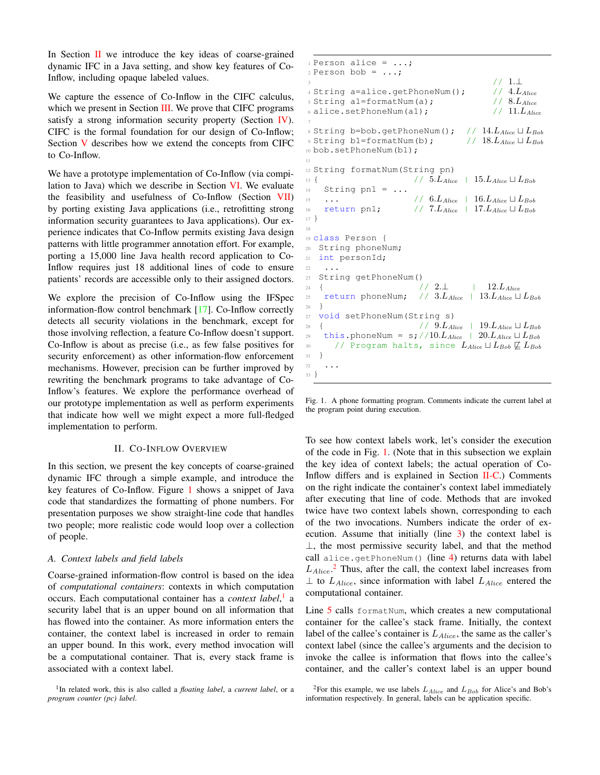In Section  $\mathbf{II}$  $\mathbf{II}$  $\mathbf{II}$  we introduce the key ideas of coarse-grained dynamic IFC in a Java setting, and show key features of Co-Inflow, including opaque labeled values.

We capture the essence of Co-Inflow in the CIFC calculus, which we present in Section [III.](#page-3-0) We prove that CIFC programs satisfy a strong information security property (Section [IV\)](#page-6-0). CIFC is the formal foundation for our design of Co-Inflow; Section [V](#page-7-0) describes how we extend the concepts from CIFC to Co-Inflow.

We have a prototype implementation of Co-Inflow (via compilation to Java) which we describe in Section [VI.](#page-8-0) We evaluate the feasibility and usefulness of Co-Inflow (Section [VII\)](#page-9-0) by porting existing Java applications (i.e., retrofitting strong information security guarantees to Java applications). Our experience indicates that Co-Inflow permits existing Java design patterns with little programmer annotation effort. For example, porting a 15,000 line Java health record application to Co-Inflow requires just 18 additional lines of code to ensure patients' records are accessible only to their assigned doctors.

We explore the precision of Co-Inflow using the IFSpec information-flow control benchmark [\[17\]](#page-13-8). Co-Inflow correctly detects all security violations in the benchmark, except for those involving reflection, a feature Co-Inflow doesn't support. Co-Inflow is about as precise (i.e., as few false positives for security enforcement) as other information-flow enforcement mechanisms. However, precision can be further improved by rewriting the benchmark programs to take advantage of Co-Inflow's features. We explore the performance overhead of our prototype implementation as well as perform experiments that indicate how well we might expect a more full-fledged implementation to perform.

#### II. CO-INFLOW OVERVIEW

<span id="page-1-0"></span>In this section, we present the key concepts of coarse-grained dynamic IFC through a simple example, and introduce the key features of Co-Inflow. Figure [1](#page-1-1) shows a snippet of Java code that standardizes the formatting of phone numbers. For presentation purposes we show straight-line code that handles two people; more realistic code would loop over a collection of people.

### *A. Context labels and field labels*

Coarse-grained information-flow control is based on the idea of *computational containers*: contexts in which computation occurs. Each computational container has a *context label*, [1](#page-1-2) a security label that is an upper bound on all information that has flowed into the container. As more information enters the container, the context label is increased in order to remain an upper bound. In this work, every method invocation will be a computational container. That is, every stack frame is associated with a context label.

```
1
In related work, this is also called a floating label, a current label, or a
program counter (pc) label.
```

```
1 Person alice = \ldots;
2 Person bob = \ldots;
                                                  // 1.⊥
4 String a=alice.getPhoneNum(); \qquad // 4.L_{Alice}5 String al=formatNum(a); \frac{1}{5} // 8.L<sub>Alice</sub><br>
6 alice.setPhoneNum(al); \frac{1}{1.1}6 alice.setPhoneNum(a1);
 7
% String b=bob.getPhoneNum(); // 14.L_{Alice} \sqcup L_{Bob}<br>% String b1=formatNum(b); // 18.L_{Alice} \sqcup L_{Bob}9 String b1=formatNum(b);
10 bob.setPhoneNum(b1);
11
12 String formatNum(String pn)
13 \{ // 5.L_{Alice} | 15.L_{Alice} \sqcup L_{Bob}14 String pn1 = ...
15 ... / / 6.L_{Alice} + 16.L_{Alice} \sqcup L_{Bob}16 return pn1; // 7.L_{Alice} + 17.L_{Alice} \sqcup L_{Bob}17 }
18
19 class Person {
20 String phoneNum;
21 int personId;
22\,23 String getPhoneNum()
\frac{1}{24} { \frac{1}{2.1} | \frac{12.L_{Alice}}{12.1}25 return phoneNum; // 3.L_{Alice} | 13.L_{Alice} \sqcup L_{Bob}26 }
27 void setPhoneNum(String s)
28 { / 9.L_{Alice} | 19.L_{Alice} \sqcup L_{Bob}29 this.phoneNum = s;//10.L_{Alice} | 20.L_{Alice} \sqcup L_{Bob}30 // Program halts, since L_{Alice} \sqcup L_{Bob} \not\sqsubseteq L_{Bob}<br>31 }
3132 \cdot \cdot \cdot33 }
```
<span id="page-1-10"></span><span id="page-1-1"></span>Fig. 1. A phone formatting program. Comments indicate the current label at the program point during execution.

To see how context labels work, let's consider the execution of the code in Fig. [1.](#page-1-1) (Note that in this subsection we explain the key idea of context labels; the actual operation of Co-Inflow differs and is explained in Section  $II-C$ .) Comments on the right indicate the container's context label immediately after executing that line of code. Methods that are invoked twice have two context labels shown, corresponding to each of the two invocations. Numbers indicate the order of execution. Assume that initially (line [3\)](#page-1-3) the context label is ⊥, the most permissive security label, and that the method call alice.getPhoneNum() (line [4\)](#page-1-4) returns data with label  $L_{Alice}$ <sup>[2](#page-1-5)</sup> Thus, after the call, the context label increases from  $\perp$  to  $L_{Alice}$ , since information with label  $L_{Alice}$  entered the computational container.

Line [5](#page-1-6) calls formatNum, which creates a new computational container for the callee's stack frame. Initially, the context label of the callee's container is  $L_{Alice}$ , the same as the caller's context label (since the callee's arguments and the decision to invoke the callee is information that flows into the callee's container, and the caller's context label is an upper bound

<span id="page-1-5"></span><sup>&</sup>lt;sup>2</sup>For this example, we use labels  $L_{Alice}$  and  $L_{Bob}$  for Alice's and Bob's information respectively. In general, labels can be application specific.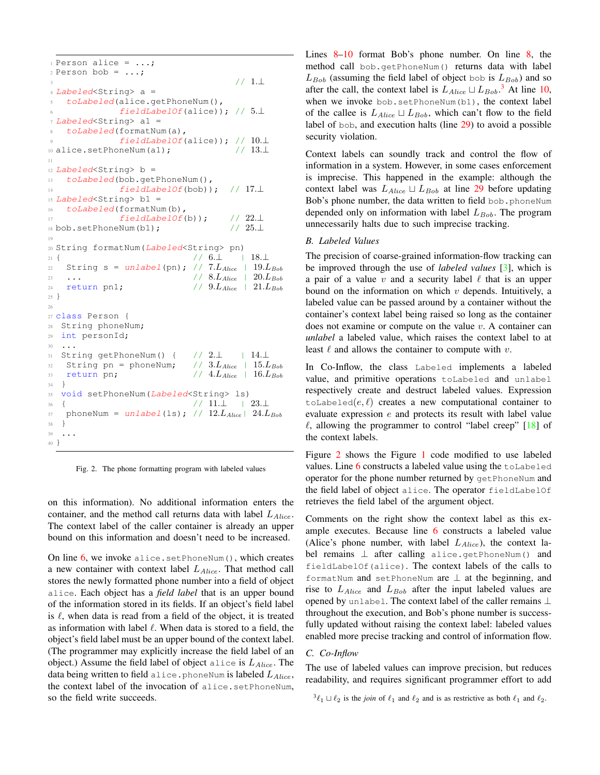```
1 Person alice = \ldots;
2 Person bob = \ldots;
                                    3 // 1.⊥
4 Labeled<String> a =
5 toLabeled(alice.getPhoneNum(),
6 fieldLabelOf(alice)); // 5.17 Labeled<String> a1 =
8 toLabeled(formatNum(a),
             fieldLabelOf(alice)); // 10.⊥
10 alice.setPhoneNum(a1); // 13.⊥
11
12 Labeled<String> b =
13 toLabeled(bob.getPhoneNum(),
14 fieldLabelOf(bob)); // 17.⊥
15 Labeled<String> b1 =
16 toLabeled(formatNum(b),
17 fieldLabelOf(b)); // 22.\perp18 bob.setPhoneNum(b1); \frac{1}{25.1}19
20 String formatNum(Labeled<String> pn)
21 \t {13.1}22 String s = unlabel(pn); // 7.L_{Alice} | 19.L_{Bob}\frac{23}{2} ... // 8. L_{Alice} | 20. L_{Bob}24 return pn1; 1/9.L_{Alice} | 21.L_{Bob}25 }
26
27 class Person {
28 String phoneNum;
29 int personId;
30 \cdot \cdot \cdot31 String getPhoneNum() { // 2.⊥ | 14.⊥
32 String pn = phoneNum; // 3.L_{Alice} | 15.L_{Bob}33 return pn; \frac{1}{4.2} // 4. L_{Alice} | 16. L_{Bob}34 }
35 void setPhoneNum(Labeled<String> ls)
36 { // 11.⊥ | 23.⊥
37 phoneNum = unlabel(1s); // 12.L_{Alice} | 24.L_{Bob}38 }
39 \cdot \cdot \cdot40 }
```
<span id="page-2-2"></span>Fig. 2. The phone formatting program with labeled values

on this information). No additional information enters the container, and the method call returns data with label  $L_{Alice}$ . The context label of the caller container is already an upper bound on this information and doesn't need to be increased.

On line  $6$ , we invoke alice.setPhoneNum(), which creates a new container with context label  $L_{Alice}$ . That method call stores the newly formatted phone number into a field of object alice. Each object has a *field label* that is an upper bound of the information stored in its fields. If an object's field label is  $\ell$ , when data is read from a field of the object, it is treated as information with label  $\ell$ . When data is stored to a field, the object's field label must be an upper bound of the context label. (The programmer may explicitly increase the field label of an object.) Assume the field label of object alice is  $L_{Alice}$ . The data being written to field alice. phoneNum is labeled  $L_{Alice}$ , the context label of the invocation of alice.setPhoneNum, so the field write succeeds.

Lines [8](#page-1-8)[–10](#page-1-9) format Bob's phone number. On line [8,](#page-1-8) the method call bob.getPhoneNum() returns data with label  $L_{Bob}$  (assuming the field label of object bob is  $L_{Bob}$ ) and so after the call, the context label is  $L_{Alice} \sqcup L_{Bob}$ .<sup>[3](#page-2-1)</sup> At line [10,](#page-1-9) when we invoke bob.setPhoneNum(b1), the context label of the callee is  $L_{Alice} \sqcup L_{Bob}$ , which can't flow to the field label of bob, and execution halts (line [29\)](#page-1-10) to avoid a possible security violation.

Context labels can soundly track and control the flow of information in a system. However, in some cases enforcement is imprecise. This happened in the example: although the context label was  $L_{Alice} \sqcup L_{Bob}$  at line [29](#page-1-10) before updating Bob's phone number, the data written to field bob.phoneNum depended only on information with label  $L_{Bob}$ . The program unnecessarily halts due to such imprecise tracking.

## *B. Labeled Values*

The precision of coarse-grained information-flow tracking can be improved through the use of *labeled values* [\[3\]](#page-13-5), which is a pair of a value  $v$  and a security label  $\ell$  that is an upper bound on the information on which  $v$  depends. Intuitively, a labeled value can be passed around by a container without the container's context label being raised so long as the container does not examine or compute on the value  $v$ . A container can *unlabel* a labeled value, which raises the context label to at least  $\ell$  and allows the container to compute with  $v$ .

In Co-Inflow, the class Labeled implements a labeled value, and primitive operations toLabeled and unlabel respectively create and destruct labeled values. Expression toLabeled $(e, \ell)$  creates a new computational container to evaluate expression  $e$  and protects its result with label value  $\ell$ , allowing the programmer to control "label creep" [\[18\]](#page-13-9) of the context labels.

Figure [2](#page-2-2) shows the Figure [1](#page-1-1) code modified to use labeled values. Line  $6$  constructs a labeled value using the  $t$  olabeled operator for the phone number returned by getPhoneNum and the field label of object alice. The operator fieldLabelOf retrieves the field label of the argument object.

Comments on the right show the context label as this example executes. Because line [6](#page-2-3) constructs a labeled value (Alice's phone number, with label  $L_{Alice}$ ), the context label remains ⊥ after calling alice.getPhoneNum() and fieldLabelOf(alice). The context labels of the calls to formatNum and setPhoneNum are  $\perp$  at the beginning, and rise to  $L_{Alice}$  and  $L_{Bob}$  after the input labeled values are opened by unlabel. The context label of the caller remains ⊥ throughout the execution, and Bob's phone number is successfully updated without raising the context label: labeled values enabled more precise tracking and control of information flow.

#### <span id="page-2-0"></span>*C. Co-Inflow*

The use of labeled values can improve precision, but reduces readability, and requires significant programmer effort to add

<span id="page-2-1"></span> ${}^{3}\ell_1 \sqcup \ell_2$  is the *join* of  $\ell_1$  and  $\ell_2$  and is as restrictive as both  $\ell_1$  and  $\ell_2$ .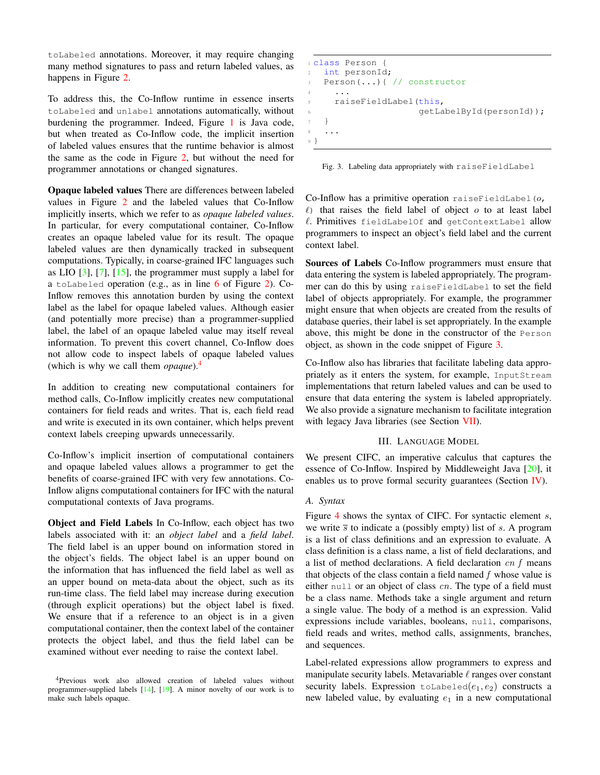toLabeled annotations. Moreover, it may require changing many method signatures to pass and return labeled values, as happens in Figure [2.](#page-2-2)

To address this, the Co-Inflow runtime in essence inserts toLabeled and unlabel annotations automatically, without burdening the programmer. Indeed, Figure [1](#page-1-1) is Java code, but when treated as Co-Inflow code, the implicit insertion of labeled values ensures that the runtime behavior is almost the same as the code in Figure [2,](#page-2-2) but without the need for programmer annotations or changed signatures.

Opaque labeled values There are differences between labeled values in Figure [2](#page-2-2) and the labeled values that Co-Inflow implicitly inserts, which we refer to as *opaque labeled values*. In particular, for every computational container, Co-Inflow creates an opaque labeled value for its result. The opaque labeled values are then dynamically tracked in subsequent computations. Typically, in coarse-grained IFC languages such as LIO  $[3]$ ,  $[7]$ ,  $[15]$ , the programmer must supply a label for a toLabeled operation (e.g., as in line [6](#page-2-3) of Figure [2\)](#page-2-2). Co-Inflow removes this annotation burden by using the context label as the label for opaque labeled values. Although easier (and potentially more precise) than a programmer-supplied label, the label of an opaque labeled value may itself reveal information. To prevent this covert channel, Co-Inflow does not allow code to inspect labels of opaque labeled values (which is why we call them *opaque*).[4](#page-3-1)

In addition to creating new computational containers for method calls, Co-Inflow implicitly creates new computational containers for field reads and writes. That is, each field read and write is executed in its own container, which helps prevent context labels creeping upwards unnecessarily.

Co-Inflow's implicit insertion of computational containers and opaque labeled values allows a programmer to get the benefits of coarse-grained IFC with very few annotations. Co-Inflow aligns computational containers for IFC with the natural computational contexts of Java programs.

Object and Field Labels In Co-Inflow, each object has two labels associated with it: an *object label* and a *field label*. The field label is an upper bound on information stored in the object's fields. The object label is an upper bound on the information that has influenced the field label as well as an upper bound on meta-data about the object, such as its run-time class. The field label may increase during execution (through explicit operations) but the object label is fixed. We ensure that if a reference to an object is in a given computational container, then the context label of the container protects the object label, and thus the field label can be examined without ever needing to raise the context label.

```
1 class Person {
2 int personId;
3 Person(...){ // constructor
4 \cdot \cdot \cdot5 raiseFieldLabel(this,
6 getLabelById(personId));
   7 }
8 ...
9 }
```
<span id="page-3-2"></span>Fig. 3. Labeling data appropriately with raiseFieldLabel

Co-Inflow has a primitive operation raiseFieldLabel( $o$ ,  $\ell$ ) that raises the field label of object  $o$  to at least label  $\ell$ . Primitives fieldLabelOf and getContextLabel allow programmers to inspect an object's field label and the current context label.

Sources of Labels Co-Inflow programmers must ensure that data entering the system is labeled appropriately. The programmer can do this by using raiseFieldLabel to set the field label of objects appropriately. For example, the programmer might ensure that when objects are created from the results of database queries, their label is set appropriately. In the example above, this might be done in the constructor of the Person object, as shown in the code snippet of Figure [3.](#page-3-2)

Co-Inflow also has libraries that facilitate labeling data appropriately as it enters the system, for example, InputStream implementations that return labeled values and can be used to ensure that data entering the system is labeled appropriately. We also provide a signature mechanism to facilitate integration with legacy Java libraries (see Section [VII\)](#page-9-0).

## III. LANGUAGE MODEL

<span id="page-3-0"></span>We present CIFC, an imperative calculus that captures the essence of Co-Inflow. Inspired by Middleweight Java [\[20\]](#page-13-12), it enables us to prove formal security guarantees (Section [IV\)](#page-6-0).

# *A. Syntax*

Figure [4](#page-4-0) shows the syntax of CIFC. For syntactic element  $s$ , we write  $\overline{s}$  to indicate a (possibly empty) list of s. A program is a list of class definitions and an expression to evaluate. A class definition is a class name, a list of field declarations, and a list of method declarations. A field declaration  $cn$  f means that objects of the class contain a field named  $f$  whose value is either null or an object of class  $cn$ . The type of a field must be a class name. Methods take a single argument and return a single value. The body of a method is an expression. Valid expressions include variables, booleans, null, comparisons, field reads and writes, method calls, assignments, branches, and sequences.

Label-related expressions allow programmers to express and manipulate security labels. Metavariable  $\ell$  ranges over constant security labels. Expression toLabeled $(e_1, e_2)$  constructs a new labeled value, by evaluating  $e_1$  in a new computational

<span id="page-3-1"></span><sup>4</sup>Previous work also allowed creation of labeled values without programmer-supplied labels [\[14\]](#page-13-4), [\[19\]](#page-13-11). A minor novelty of our work is to make such labels opaque.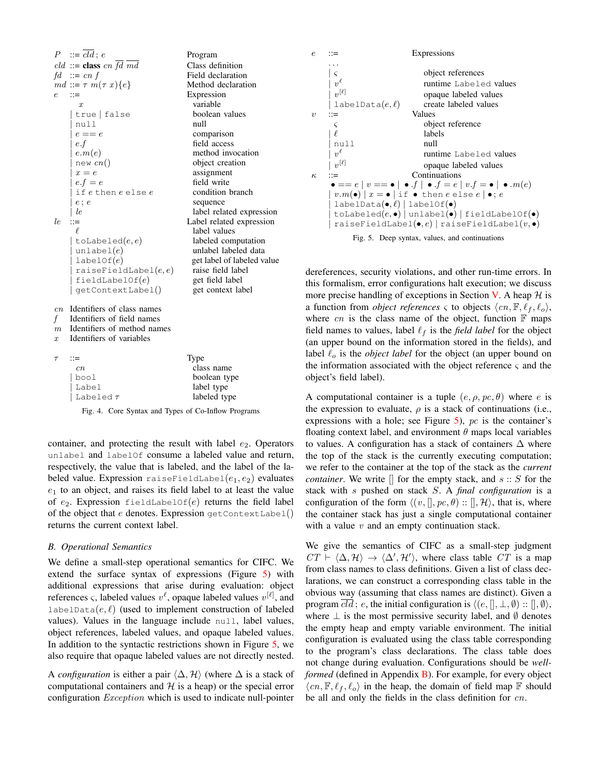| $P \quad ::= \overline{cld} \, ; \, e$<br>cld ::= class cn $\overline{fd}$ $\overline{md}$<br>$fd \n::= cn f$<br>$md ::= \tau m(\tau x)\{e\}$<br>$::=$<br>e<br>$\boldsymbol{x}$<br>true   false<br>null<br>$e == e$<br>e.f<br>e.m(e) | Program<br>Class definition<br>Field declaration<br>Method declaration<br>Expression<br>variable<br>boolean values<br>null<br>comparison<br>field access<br>method invocation                                                                                                                  |
|--------------------------------------------------------------------------------------------------------------------------------------------------------------------------------------------------------------------------------------|------------------------------------------------------------------------------------------------------------------------------------------------------------------------------------------------------------------------------------------------------------------------------------------------|
| new $cn()$<br>$x = e$<br>$e.f = e$<br>if ethen e else e<br>$e$ ; $e$<br>le<br>le<br>$::=$<br>ł.<br>toLabeled $(e,e)$<br>unlabel $(e)$<br>labelOf(e)<br>raiseFieldLabel(e, e)<br>fieldLabelOf(e)<br>getContextLabel()                 | object creation<br>assignment<br>field write<br>condition branch<br>sequence<br>label related expression<br>Label related expression<br>label values<br>labeled computation<br>unlabel labeled data<br>get label of labeled value<br>raise field label<br>get field label<br>get context label |
| Identifiers of class names<br>cn<br>Identifiers of field names<br>f<br>Identifiers of method names<br>m<br>Identifiers of variables<br>$\boldsymbol{x}$                                                                              |                                                                                                                                                                                                                                                                                                |
| $\tau$<br>∷≕<br>cn<br>bool<br>Label<br>Labeled $\tau$                                                                                                                                                                                | Type<br>class name<br>boolean type<br>label type<br>labeled type                                                                                                                                                                                                                               |

<span id="page-4-0"></span>Fig. 4. Core Syntax and Types of Co-Inflow Programs

container, and protecting the result with label  $e_2$ . Operators unlabel and labelOf consume a labeled value and return, respectively, the value that is labeled, and the label of the labeled value. Expression raiseFieldLabel $(e_1, e_2)$  evaluates  $e_1$  to an object, and raises its field label to at least the value of  $e_2$ . Expression fieldLabelOf(e) returns the field label of the object that e denotes. Expression  $\text{getContextLabel}()$ returns the current context label.

#### *B. Operational Semantics*

We define a small-step operational semantics for CIFC. We extend the surface syntax of expressions (Figure [5\)](#page-4-1) with additional expressions that arise during evaluation: object references  $\varsigma$ , labeled values  $v^{\ell}$ , opaque labeled values  $v^{[\ell]}$ , and labelData $(e, l)$  (used to implement construction of labeled values). Values in the language include null, label values, object references, labeled values, and opaque labeled values. In addition to the syntactic restrictions shown in Figure [5,](#page-4-1) we also require that opaque labeled values are not directly nested.

A *configuration* is either a pair  $\langle \Delta, \mathcal{H} \rangle$  (where  $\Delta$  is a stack of computational containers and  $H$  is a heap) or the special error configuration Exception which is used to indicate null-pointer



<span id="page-4-1"></span>

dereferences, security violations, and other run-time errors. In this formalism, error configurations halt execution; we discuss more precise handling of exceptions in Section [V.](#page-7-0) A heap  $H$  is a function from *object references*  $\varsigma$  to objects  $\langle cn, \mathbb{F}, \ell_f, \ell_o \rangle$ , where  $cn$  is the class name of the object, function  $\mathbb F$  maps field names to values, label  $\ell_f$  is the *field label* for the object (an upper bound on the information stored in the fields), and label  $\ell_o$  is the *object label* for the object (an upper bound on the information associated with the object reference  $\varsigma$  and the object's field label).

A computational container is a tuple  $(e, \rho, pc, \theta)$  where e is the expression to evaluate,  $\rho$  is a stack of continuations (i.e., expressions with a hole; see Figure  $5$ ), pc is the container's floating context label, and environment  $\theta$  maps local variables to values. A configuration has a stack of containers  $\Delta$  where the top of the stack is the currently executing computation; we refer to the container at the top of the stack as the *current container*. We write  $\parallel$  for the empty stack, and  $s :: S$  for the stack with s pushed on stack S. A *final configuration* is a configuration of the form  $\langle (v, \|, pc, \theta) : \|, \mathcal{H} \rangle$ , that is, where the container stack has just a single computational container with a value  $v$  and an empty continuation stack.

We give the semantics of CIFC as a small-step judgment  $CT \vdash \langle \Delta, \mathcal{H} \rangle \rightarrow \langle \Delta', \mathcal{H}' \rangle$ , where class table CT is a map from class names to class definitions. Given a list of class declarations, we can construct a corresponding class table in the obvious way (assuming that class names are distinct). Given a program  $cld$ ; e, the initial configuration is  $\langle (e, \|, \bot, \emptyset) : \Box, \emptyset \rangle$ , where  $\perp$  is the most permissive security label, and  $\emptyset$  denotes the empty heap and empty variable environment. The initial configuration is evaluated using the class table corresponding to the program's class declarations. The class table does not change during evaluation. Configurations should be *wellformed* (defined in Appendix **B**). For example, for every object  $\langle cn, \mathbb{F}, \ell_f, \ell_o \rangle$  in the heap, the domain of field map  $\mathbb{F}$  should be all and only the fields in the class definition for cn.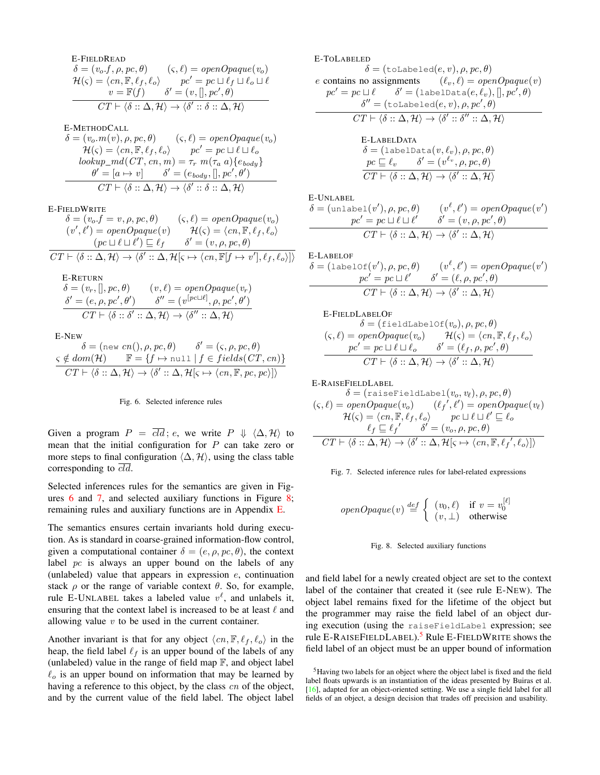E-FileLREAD  
\n
$$
\delta = (v_o.f, \rho, pc, \theta) \qquad (\varsigma, \ell) = openOpaque(v_o)
$$
\n
$$
\mathcal{H}(\varsigma) = \langle cn, \mathbb{F}, \ell_f, \ell_o \rangle \qquad pc' = pc \sqcup \ell_f \sqcup \ell_o \sqcup \ell
$$
\n
$$
v = \mathbb{F}(f) \qquad \delta' = (v, [], pc', \theta)
$$
\n
$$
CT \vdash \langle \delta :: \Delta, \mathcal{H} \rangle \rightarrow \langle \delta' :: \delta :: \Delta, \mathcal{H} \rangle
$$

E-METHODCALL

$$
\delta = (v_o.m(v), \rho, pc, \theta) \qquad (\varsigma, \ell) = openOpaque(v_o)
$$
  
\n
$$
\mathcal{H}(\varsigma) = \langle cn, \mathbb{F}, \ell_f, \ell_o \rangle \qquad pc' = pc \sqcup \ell \sqcup \ell_o
$$
  
\n
$$
lookup\_md(CT, cn, m) = \tau_r \ m(\tau_a \ a) \{e_{body}\}
$$
  
\n
$$
\theta' = [a \rightarrow v] \qquad \delta' = (e_{body},[], pc', \theta')
$$
  
\n
$$
CT \vdash \langle \delta :: \Delta, \mathcal{H} \rangle \rightarrow \langle \delta' :: \delta :: \Delta, \mathcal{H} \rangle
$$

E-FIELDWRITE

$$
\delta = (v_o.f = v, \rho, pc, \theta) \qquad (\varsigma, \ell) = openOpaque(v_o)
$$
  

$$
(v', \ell') = openOpaque(v) \qquad \mathcal{H}(\varsigma) = \langle cn, \mathbb{F}, \ell_f, \ell_o \rangle
$$
  

$$
(pc \sqcup \ell \sqcup \ell') \sqsubseteq \ell_f \qquad \delta' = (v, \rho, pc, \theta)
$$
  

$$
CT \vdash \langle \delta :: \Delta, \mathcal{H} \rangle \rightarrow \langle \delta' :: \Delta, \mathcal{H}[\varsigma \mapsto \langle cn, \mathbb{F}[f \mapsto v'], \ell_f, \ell_o \rangle] \rangle
$$

E-RETURN  
\n
$$
\delta = (v_r,[], pc, \theta) \qquad (v, \ell) = openOpaque(v_r)
$$
\n
$$
\frac{\delta' = (e, \rho, pc', \theta') \qquad \delta'' = (v^{[pc \sqcup \ell]}, \rho, pc', \theta')}{CT \vdash \langle \delta : : \delta' : : \Delta, \mathcal{H} \rangle \rightarrow \langle \delta'': : \Delta, \mathcal{H} \rangle}
$$

E-NEW

<span id="page-5-0"></span>
$$
\delta = (\text{new } cn(), \rho, pc, \theta) \qquad \delta' = (\varsigma, \rho, pc, \theta)
$$
  

$$
\varsigma \notin dom(\mathcal{H}) \qquad \mathbb{F} = \{f \mapsto \text{null} \mid f \in fields(CT, cn)\}
$$
  

$$
CT \vdash \langle \delta :: \Delta, \mathcal{H} \rangle \rightarrow \langle \delta' :: \Delta, \mathcal{H}[\varsigma \mapsto \langle cn, \mathbb{F}, pc, pc \rangle] \rangle
$$



Given a program  $P = \overline{cld}$ ; e, we write  $P \Downarrow \langle \Delta, \mathcal{H} \rangle$  to mean that the initial configuration for  $P$  can take zero or more steps to final configuration  $\langle \Delta, \mathcal{H} \rangle$ , using the class table corresponding to  $cld$ .

Selected inferences rules for the semantics are given in Figures [6](#page-5-0) and [7,](#page-5-1) and selected auxiliary functions in Figure [8;](#page-5-2) remaining rules and auxiliary functions are in Appendix [E.](#page-15-0)

The semantics ensures certain invariants hold during execution. As is standard in coarse-grained information-flow control, given a computational container  $\delta = (e, \rho, pc, \theta)$ , the context label pc is always an upper bound on the labels of any (unlabeled) value that appears in expression  $e$ , continuation stack  $\rho$  or the range of variable context  $\theta$ . So, for example, rule E-UNLABEL takes a labeled value  $v^{\ell}$ , and unlabels it, ensuring that the context label is increased to be at least  $\ell$  and allowing value  $v$  to be used in the current container.

Another invariant is that for any object  $\langle cn, \mathbb{F}, \ell_f, \ell_o \rangle$  in the heap, the field label  $\ell_f$  is an upper bound of the labels of any (unlabeled) value in the range of field map  $\mathbb{F}$ , and object label  $\ell_{o}$  is an upper bound on information that may be learned by having a reference to this object, by the class cn of the object, and by the current value of the field label. The object label E-TOLABELED

 $\delta = (\text{toLabeled}(e, v), \rho, pc, \theta)$ 

e contains no assignments  $(\ell_v, \ell) = openOpaque(v)$  $pc' = pc \sqcup \ell \qquad \delta' = (\texttt{labelData}(e, \ell_v),[], pc', \theta)$ 

$$
\delta'' = (\text{tolabeled}(e, v), \rho, pc', \theta)
$$

$$
CT \vdash \langle \delta :: \Delta, \mathcal{H} \rangle \rightarrow \langle \delta' :: \delta'': : \Delta, \mathcal{H} \rangle
$$

$$
E\text{-LABELDATA}
$$

$$
\delta = (\text{labelData}(v, \ell_v), \rho, pc, \theta)
$$

$$
\underline{pc} \subseteq \ell_v \qquad \delta' = (v^{\ell_v}, \rho, pc, \theta)
$$

$$
\overline{CT} \vdash \langle \delta :: \Delta, \mathcal{H} \rangle \rightarrow \langle \delta' :: \Delta, \mathcal{H} \rangle
$$

E-UNLABEL

 $\delta = (\text{unlabel}(v'), \rho, pc, \theta)$  (*v*  $\ell$ ,  $\ell'$ ) = openOpaque(v')  $pc' = pc \sqcup \ell \sqcup \ell'$   $\delta' = (v, \rho, pc', \theta)$  $CT \vdash \langle \delta :: \Delta, \mathcal{H} \rangle \rightarrow \langle \delta' :: \Delta, \mathcal{H} \rangle$ 

E-LABELOF  
\n
$$
\delta = (\text{labelOf}(v'), \rho, pc, \theta) \qquad (v^{\ell}, \ell') = openOpaque(v')
$$
\n
$$
pc' = pc \sqcup \ell' \qquad \delta' = (\ell, \rho, pc', \theta)
$$
\n
$$
CT \vdash \langle \delta : \Delta, \mathcal{H} \rangle \rightarrow \langle \delta' : \Delta, \mathcal{H} \rangle
$$

E-FIELDLABELOF

$$
\delta = (\text{fieldLabelOf}(v_o), \rho, pc, \theta)
$$
  

$$
(s, \ell) = openOpaque(v_o) \qquad \mathcal{H}(s) = \langle cn, \mathbb{F}, \ell_f, \ell_o \rangle
$$
  

$$
pc' = pc \sqcup \ell \sqcup \ell_o \qquad \delta' = (\ell_f, \rho, pc', \theta)
$$
  

$$
CT \vdash \langle \delta :: \Delta, \mathcal{H} \rangle \rightarrow \langle \delta' :: \Delta, \mathcal{H} \rangle
$$

E-RAISEFIELDLABEL

$$
\delta = (\text{raiseFieldLabel}(v_o, v_{\ell}), \rho, pc, \theta)
$$
  

$$
(\varsigma, \ell) = openOpaque(v_o) \qquad (\ell_f', \ell') = openOpaque(v_{\ell})
$$
  

$$
\mathcal{H}(\varsigma) = \langle cn, \mathbb{F}, \ell_f, \ell_o \rangle \qquad pc \sqcup \ell \sqcup \ell' \sqsubseteq \ell_o
$$
  

$$
\ell_f \sqsubseteq \ell_f' \qquad \delta' = (v_o, \rho, pc, \theta)
$$
  

$$
CT \vdash \langle \delta :: \Delta, \mathcal{H} \rangle \rightarrow \langle \delta' :: \Delta, \mathcal{H}[\varsigma \mapsto \langle cn, \mathbb{F}, \ell_f', \ell_o \rangle] \rangle
$$

<span id="page-5-1"></span>

<span id="page-5-2"></span>
$$
openOpaque(v) \stackrel{def}{=} \left\{ \begin{array}{ll} (v_0, \ell) & \text{if } v = v_0^{[\ell]} \\ (v, \perp) & \text{otherwise} \end{array} \right.
$$

#### Fig. 8. Selected auxiliary functions

and field label for a newly created object are set to the context label of the container that created it (see rule E-NEW). The object label remains fixed for the lifetime of the object but the programmer may raise the field label of an object during execution (using the raiseFieldLabel expression; see rule E-RAISEFIELDLABEL).<sup>[5](#page-5-3)</sup> Rule E-FIELDWRITE shows the field label of an object must be an upper bound of information

<span id="page-5-3"></span><sup>5</sup>Having two labels for an object where the object label is fixed and the field label floats upwards is an instantiation of the ideas presented by Buiras et al. [\[16\]](#page-13-7), adapted for an object-oriented setting. We use a single field label for all fields of an object, a design decision that trades off precision and usability.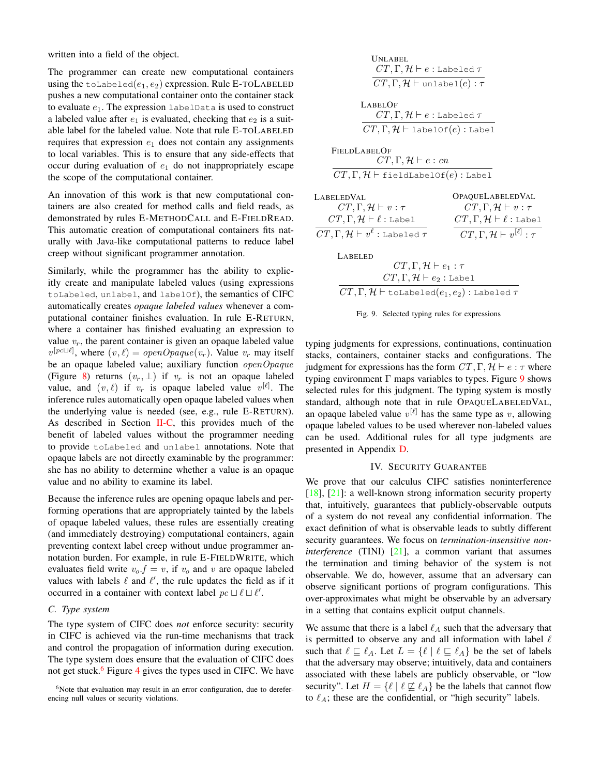written into a field of the object.

The programmer can create new computational containers using the toLabeled $(e_1, e_2)$  expression. Rule E-TOLABELED pushes a new computational container onto the container stack to evaluate  $e_1$ . The expression labelData is used to construct a labeled value after  $e_1$  is evaluated, checking that  $e_2$  is a suitable label for the labeled value. Note that rule E-TOLABELED requires that expression  $e_1$  does not contain any assignments to local variables. This is to ensure that any side-effects that occur during evaluation of  $e_1$  do not inappropriately escape the scope of the computational container.

An innovation of this work is that new computational containers are also created for method calls and field reads, as demonstrated by rules E-METHODCALL and E-FIELDREAD. This automatic creation of computational containers fits naturally with Java-like computational patterns to reduce label creep without significant programmer annotation.

Similarly, while the programmer has the ability to explicitly create and manipulate labeled values (using expressions toLabeled, unlabel, and labelOf), the semantics of CIFC automatically creates *opaque labeled values* whenever a computational container finishes evaluation. In rule E-RETURN, where a container has finished evaluating an expression to value  $v_r$ , the parent container is given an opaque labeled value  $v^{[pc \sqcup \ell]}$ , where  $(v, \ell) = openOpaque(v_r)$ . Value  $v_r$  may itself be an opaque labeled value; auxiliary function  $openOpaque$ (Figure [8\)](#page-5-2) returns  $(v_r, \perp)$  if  $v_r$  is not an opaque labeled value, and  $(v, \ell)$  if  $v_r$  is opaque labeled value  $v^{[\ell]}$ . The inference rules automatically open opaque labeled values when the underlying value is needed (see, e.g., rule E-RETURN). As described in Section  $II-C$ , this provides much of the benefit of labeled values without the programmer needing to provide toLabeled and unlabel annotations. Note that opaque labels are not directly examinable by the programmer: she has no ability to determine whether a value is an opaque value and no ability to examine its label.

Because the inference rules are opening opaque labels and performing operations that are appropriately tainted by the labels of opaque labeled values, these rules are essentially creating (and immediately destroying) computational containers, again preventing context label creep without undue programmer annotation burden. For example, in rule E-FIELDWRITE, which evaluates field write  $v_o.f = v$ , if  $v_o$  and v are opaque labeled values with labels  $\ell$  and  $\ell'$ , the rule updates the field as if it occurred in a container with context label  $pc \sqcup \ell \sqcup \ell'$ .

## *C. Type system*

The type system of CIFC does *not* enforce security: security in CIFC is achieved via the run-time mechanisms that track and control the propagation of information during execution. The type system does ensure that the evaluation of CIFC does not get stuck.<sup>[6](#page-6-1)</sup> Figure [4](#page-4-0) gives the types used in CIFC. We have

<span id="page-6-1"></span> $6$ Note that evaluation may result in an error configuration, due to dereferencing null values or security violations.

| <b>UNLABEL</b>                                                           |                                                    |  |
|--------------------------------------------------------------------------|----------------------------------------------------|--|
| $CT, \Gamma, \mathcal{H} \vdash e :$ Labeled $\tau$                      |                                                    |  |
| $CT, \Gamma, \mathcal{H}$ $\vdash$ unlabel $(e) : \tau$                  |                                                    |  |
|                                                                          |                                                    |  |
| <b>LABELOF</b>                                                           |                                                    |  |
| $CT, \Gamma, \mathcal{H} \vdash e :$ Labeled $\tau$                      |                                                    |  |
| $CT, \Gamma, \mathcal{H} \vdash$ labelOf $(e)$ : Label                   |                                                    |  |
|                                                                          |                                                    |  |
| <b>FIELDLABELOF</b>                                                      |                                                    |  |
| $CT, \Gamma, \mathcal{H} \vdash e : cn$                                  |                                                    |  |
| $CT, \Gamma, \mathcal{H} \vdash$ fieldLabelOf $(e)$ : Label              |                                                    |  |
| LABELEDVAL                                                               | OPAQUELABELEDVAL                                   |  |
| $CT, \Gamma, \mathcal{H} \vdash v : \tau$                                | $CT, \Gamma, \mathcal{H} \vdash v : \tau$          |  |
| $CT, \Gamma, \mathcal{H} \vdash \ell :$ Label                            | $CT, \Gamma, \mathcal{H} \vdash \ell :$ Label      |  |
| $CT, \Gamma, \mathcal{H} \vdash v^{\ell}$ : Labeled $\tau$               | $CT, \Gamma, \mathcal{H} \vdash v^{[\ell]} : \tau$ |  |
| <b>LABELED</b>                                                           |                                                    |  |
| $CT, \Gamma, \mathcal{H} \vdash e_1 : \tau$                              |                                                    |  |
| $CT, \Gamma, \mathcal{H} \vdash e_2 :$ Label                             |                                                    |  |
| $CT, \Gamma, \mathcal{H} \vdash$ toLabeled $(e_1, e_2)$ : Labeled $\tau$ |                                                    |  |

 $L_A$ 



<span id="page-6-2"></span>typing judgments for expressions, continuations, continuation stacks, containers, container stacks and configurations. The judgment for expressions has the form  $CT, \Gamma, \mathcal{H} \vdash e : \tau$  where typing environment  $\Gamma$  maps variables to types. Figure [9](#page-6-2) shows selected rules for this judgment. The typing system is mostly standard, although note that in rule OPAQUELABELEDVAL, an opaque labeled value  $v^{[\ell]}$  has the same type as v, allowing opaque labeled values to be used wherever non-labeled values can be used. Additional rules for all type judgments are presented in Appendix [D.](#page-15-1)

## IV. SECURITY GUARANTEE

<span id="page-6-0"></span>We prove that our calculus CIFC satisfies noninterference [\[18\]](#page-13-9), [\[21\]](#page-13-13): a well-known strong information security property that, intuitively, guarantees that publicly-observable outputs of a system do not reveal any confidential information. The exact definition of what is observable leads to subtly different security guarantees. We focus on *termination-insensitive noninterference* (TINI) [\[21\]](#page-13-13), a common variant that assumes the termination and timing behavior of the system is not observable. We do, however, assume that an adversary can observe significant portions of program configurations. This over-approximates what might be observable by an adversary in a setting that contains explicit output channels.

We assume that there is a label  $\ell_A$  such that the adversary that is permitted to observe any and all information with label  $\ell$ such that  $\ell \sqsubseteq \ell_A$ . Let  $L = \{ \ell \mid \ell \sqsubseteq \ell_A \}$  be the set of labels that the adversary may observe; intuitively, data and containers associated with these labels are publicly observable, or "low security". Let  $H = \{ \ell \mid \ell \not\sqsubseteq \ell_A \}$  be the labels that cannot flow to  $\ell_A$ ; these are the confidential, or "high security" labels.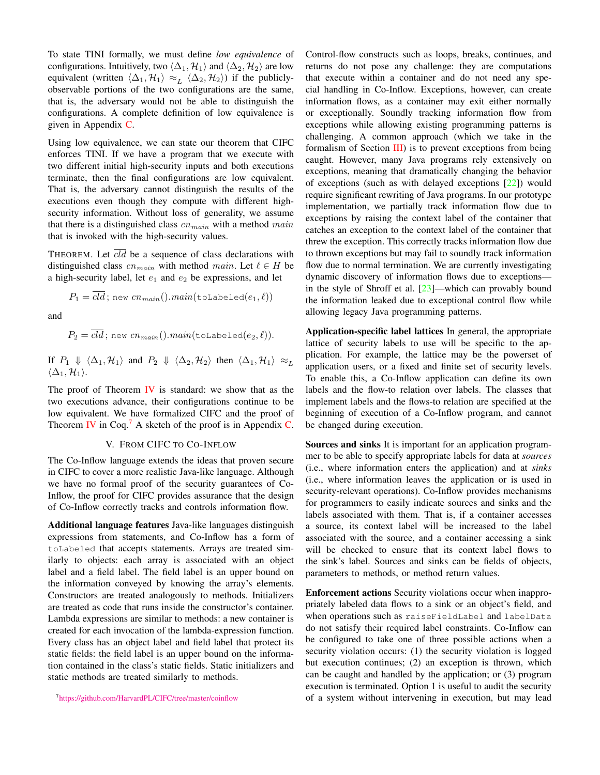To state TINI formally, we must define *low equivalence* of configurations. Intuitively, two  $\langle \Delta_1, \mathcal{H}_1 \rangle$  and  $\langle \Delta_2, \mathcal{H}_2 \rangle$  are low equivalent (written  $\langle \Delta_1, \mathcal{H}_1 \rangle \approx_L \langle \Delta_2, \mathcal{H}_2 \rangle$ ) if the publiclyobservable portions of the two configurations are the same, that is, the adversary would not be able to distinguish the configurations. A complete definition of low equivalence is given in Appendix [C.](#page-14-1)

Using low equivalence, we can state our theorem that CIFC enforces TINI. If we have a program that we execute with two different initial high-security inputs and both executions terminate, then the final configurations are low equivalent. That is, the adversary cannot distinguish the results of the executions even though they compute with different highsecurity information. Without loss of generality, we assume that there is a distinguished class  $cn_{main}$  with a method  $main$ that is invoked with the high-security values.

THEOREM. Let  $\overline{cld}$  be a sequence of class declarations with distinguished class  $cn_{main}$  with method main. Let  $\ell \in H$  be a high-security label, let  $e_1$  and  $e_2$  be expressions, and let

$$
P_1 = \overline{cld}; \text{ new } cn_{\overline{main}}().main(\texttt{toLabeled}(e_1, \ell))
$$

and

$$
P_2 = \overline{cld}; \text{ new } cn_{\overline{main}}(). \overline{main}(\text{toLabeled}(e_2, \ell)).
$$

If  $P_1 \Downarrow \langle \Delta_1, \mathcal{H}_1 \rangle$  and  $P_2 \Downarrow \langle \Delta_2, \mathcal{H}_2 \rangle$  then  $\langle \Delta_1, \mathcal{H}_1 \rangle \approx_L$  $\langle \Delta_1, \mathcal{H}_1 \rangle$ .

The proof of Theorem [IV](#page-6-0) is standard: we show that as the two executions advance, their configurations continue to be low equivalent. We have formalized CIFC and the proof of Theorem [IV](#page-6-0) in Coq.<sup>[7](#page-7-1)</sup> A sketch of the proof is in Appendix [C.](#page-14-1)

## V. FROM CIFC TO CO-INFLOW

<span id="page-7-0"></span>The Co-Inflow language extends the ideas that proven secure in CIFC to cover a more realistic Java-like language. Although we have no formal proof of the security guarantees of Co-Inflow, the proof for CIFC provides assurance that the design of Co-Inflow correctly tracks and controls information flow.

Additional language features Java-like languages distinguish expressions from statements, and Co-Inflow has a form of toLabeled that accepts statements. Arrays are treated similarly to objects: each array is associated with an object label and a field label. The field label is an upper bound on the information conveyed by knowing the array's elements. Constructors are treated analogously to methods. Initializers are treated as code that runs inside the constructor's container. Lambda expressions are similar to methods: a new container is created for each invocation of the lambda-expression function. Every class has an object label and field label that protect its static fields: the field label is an upper bound on the information contained in the class's static fields. Static initializers and static methods are treated similarly to methods.

<span id="page-7-1"></span><sup>7</sup><https://github.com/HarvardPL/CIFC/tree/master/coinflow>

Control-flow constructs such as loops, breaks, continues, and returns do not pose any challenge: they are computations that execute within a container and do not need any special handling in Co-Inflow. Exceptions, however, can create information flows, as a container may exit either normally or exceptionally. Soundly tracking information flow from exceptions while allowing existing programming patterns is challenging. A common approach (which we take in the formalism of Section  $III$ ) is to prevent exceptions from being caught. However, many Java programs rely extensively on exceptions, meaning that dramatically changing the behavior of exceptions (such as with delayed exceptions [\[22\]](#page-13-14)) would require significant rewriting of Java programs. In our prototype implementation, we partially track information flow due to exceptions by raising the context label of the container that catches an exception to the context label of the container that threw the exception. This correctly tracks information flow due to thrown exceptions but may fail to soundly track information flow due to normal termination. We are currently investigating dynamic discovery of information flows due to exceptions in the style of Shroff et al.  $[23]$ —which can provably bound the information leaked due to exceptional control flow while allowing legacy Java programming patterns.

Application-specific label lattices In general, the appropriate lattice of security labels to use will be specific to the application. For example, the lattice may be the powerset of application users, or a fixed and finite set of security levels. To enable this, a Co-Inflow application can define its own labels and the flow-to relation over labels. The classes that implement labels and the flows-to relation are specified at the beginning of execution of a Co-Inflow program, and cannot be changed during execution.

Sources and sinks It is important for an application programmer to be able to specify appropriate labels for data at *sources* (i.e., where information enters the application) and at *sinks* (i.e., where information leaves the application or is used in security-relevant operations). Co-Inflow provides mechanisms for programmers to easily indicate sources and sinks and the labels associated with them. That is, if a container accesses a source, its context label will be increased to the label associated with the source, and a container accessing a sink will be checked to ensure that its context label flows to the sink's label. Sources and sinks can be fields of objects, parameters to methods, or method return values.

Enforcement actions Security violations occur when inappropriately labeled data flows to a sink or an object's field, and when operations such as raiseFieldLabel and labelData do not satisfy their required label constraints. Co-Inflow can be configured to take one of three possible actions when a security violation occurs: (1) the security violation is logged but execution continues; (2) an exception is thrown, which can be caught and handled by the application; or (3) program execution is terminated. Option 1 is useful to audit the security of a system without intervening in execution, but may lead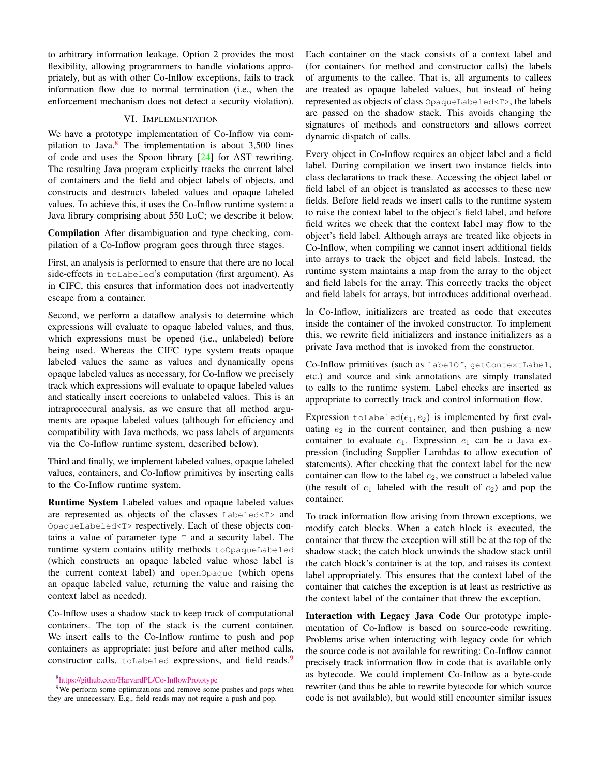to arbitrary information leakage. Option 2 provides the most flexibility, allowing programmers to handle violations appropriately, but as with other Co-Inflow exceptions, fails to track information flow due to normal termination (i.e., when the enforcement mechanism does not detect a security violation).

## VI. IMPLEMENTATION

<span id="page-8-0"></span>We have a prototype implementation of Co-Inflow via compilation to Java. $8$  The implementation is about 3,500 lines of code and uses the Spoon library [\[24\]](#page-13-16) for AST rewriting. The resulting Java program explicitly tracks the current label of containers and the field and object labels of objects, and constructs and destructs labeled values and opaque labeled values. To achieve this, it uses the Co-Inflow runtime system: a Java library comprising about 550 LoC; we describe it below.

Compilation After disambiguation and type checking, compilation of a Co-Inflow program goes through three stages.

First, an analysis is performed to ensure that there are no local side-effects in toLabeled's computation (first argument). As in CIFC, this ensures that information does not inadvertently escape from a container.

Second, we perform a dataflow analysis to determine which expressions will evaluate to opaque labeled values, and thus, which expressions must be opened (i.e., unlabeled) before being used. Whereas the CIFC type system treats opaque labeled values the same as values and dynamically opens opaque labeled values as necessary, for Co-Inflow we precisely track which expressions will evaluate to opaque labeled values and statically insert coercions to unlabeled values. This is an intraprocecural analysis, as we ensure that all method arguments are opaque labeled values (although for efficiency and compatibility with Java methods, we pass labels of arguments via the Co-Inflow runtime system, described below).

Third and finally, we implement labeled values, opaque labeled values, containers, and Co-Inflow primitives by inserting calls to the Co-Inflow runtime system.

Runtime System Labeled values and opaque labeled values are represented as objects of the classes Labeled<T> and OpaqueLabeled<T> respectively. Each of these objects contains a value of parameter type T and a security label. The runtime system contains utility methods toOpaqueLabeled (which constructs an opaque labeled value whose label is the current context label) and openOpaque (which opens an opaque labeled value, returning the value and raising the context label as needed).

Co-Inflow uses a shadow stack to keep track of computational containers. The top of the stack is the current container. We insert calls to the Co-Inflow runtime to push and pop containers as appropriate: just before and after method calls, constructor calls, toLabeled expressions, and field reads.<sup>[9](#page-8-2)</sup>

<span id="page-8-2"></span><span id="page-8-1"></span><sup>8</sup><https://github.com/HarvardPL/Co-InflowPrototype>

<sup>9</sup>We perform some optimizations and remove some pushes and pops when they are unnecessary. E.g., field reads may not require a push and pop.

Each container on the stack consists of a context label and (for containers for method and constructor calls) the labels of arguments to the callee. That is, all arguments to callees are treated as opaque labeled values, but instead of being represented as objects of class OpaqueLabeled<T>, the labels are passed on the shadow stack. This avoids changing the signatures of methods and constructors and allows correct dynamic dispatch of calls.

Every object in Co-Inflow requires an object label and a field label. During compilation we insert two instance fields into class declarations to track these. Accessing the object label or field label of an object is translated as accesses to these new fields. Before field reads we insert calls to the runtime system to raise the context label to the object's field label, and before field writes we check that the context label may flow to the object's field label. Although arrays are treated like objects in Co-Inflow, when compiling we cannot insert additional fields into arrays to track the object and field labels. Instead, the runtime system maintains a map from the array to the object and field labels for the array. This correctly tracks the object and field labels for arrays, but introduces additional overhead.

In Co-Inflow, initializers are treated as code that executes inside the container of the invoked constructor. To implement this, we rewrite field initializers and instance initializers as a private Java method that is invoked from the constructor.

Co-Inflow primitives (such as labelOf, getContextLabel, etc.) and source and sink annotations are simply translated to calls to the runtime system. Label checks are inserted as appropriate to correctly track and control information flow.

Expression  $\text{tolabeled}(e_1, e_2)$  is implemented by first evaluating  $e_2$  in the current container, and then pushing a new container to evaluate  $e_1$ . Expression  $e_1$  can be a Java expression (including Supplier Lambdas to allow execution of statements). After checking that the context label for the new container can flow to the label  $e_2$ , we construct a labeled value (the result of  $e_1$  labeled with the result of  $e_2$ ) and pop the container.

To track information flow arising from thrown exceptions, we modify catch blocks. When a catch block is executed, the container that threw the exception will still be at the top of the shadow stack; the catch block unwinds the shadow stack until the catch block's container is at the top, and raises its context label appropriately. This ensures that the context label of the container that catches the exception is at least as restrictive as the context label of the container that threw the exception.

Interaction with Legacy Java Code Our prototype implementation of Co-Inflow is based on source-code rewriting. Problems arise when interacting with legacy code for which the source code is not available for rewriting: Co-Inflow cannot precisely track information flow in code that is available only as bytecode. We could implement Co-Inflow as a byte-code rewriter (and thus be able to rewrite bytecode for which source code is not available), but would still encounter similar issues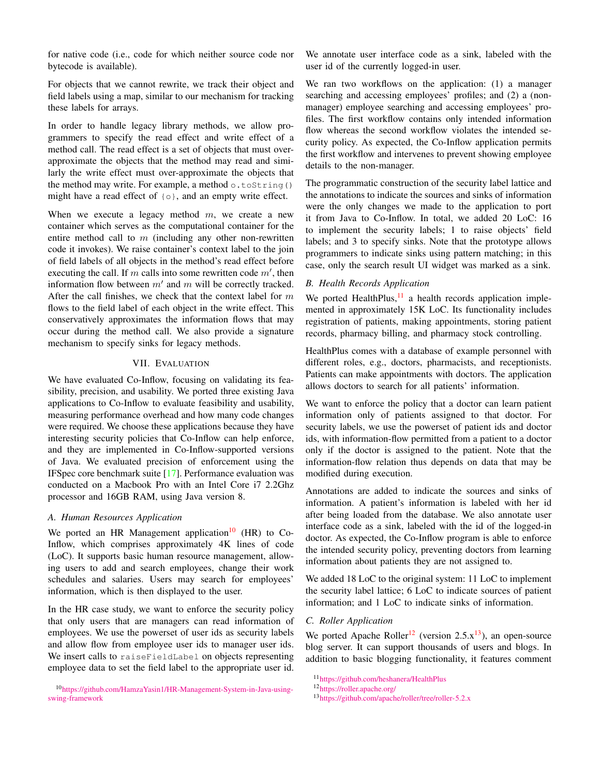for native code (i.e., code for which neither source code nor bytecode is available).

For objects that we cannot rewrite, we track their object and field labels using a map, similar to our mechanism for tracking these labels for arrays.

In order to handle legacy library methods, we allow programmers to specify the read effect and write effect of a method call. The read effect is a set of objects that must overapproximate the objects that the method may read and similarly the write effect must over-approximate the objects that the method may write. For example, a method  $\circ$ .toString() might have a read effect of  $\{\circ\}$ , and an empty write effect.

When we execute a legacy method  $m$ , we create a new container which serves as the computational container for the entire method call to  $m$  (including any other non-rewritten code it invokes). We raise container's context label to the join of field labels of all objects in the method's read effect before executing the call. If m calls into some rewritten code  $m'$ , then information flow between  $m'$  and  $m$  will be correctly tracked. After the call finishes, we check that the context label for  $m$ flows to the field label of each object in the write effect. This conservatively approximates the information flows that may occur during the method call. We also provide a signature mechanism to specify sinks for legacy methods.

## VII. EVALUATION

<span id="page-9-0"></span>We have evaluated Co-Inflow, focusing on validating its feasibility, precision, and usability. We ported three existing Java applications to Co-Inflow to evaluate feasibility and usability, measuring performance overhead and how many code changes were required. We choose these applications because they have interesting security policies that Co-Inflow can help enforce, and they are implemented in Co-Inflow-supported versions of Java. We evaluated precision of enforcement using the IFSpec core benchmark suite [\[17\]](#page-13-8). Performance evaluation was conducted on a Macbook Pro with an Intel Core i7 2.2Ghz processor and 16GB RAM, using Java version 8.

## *A. Human Resources Application*

We ported an HR Management application<sup>[10](#page-9-1)</sup> (HR) to Co-Inflow, which comprises approximately 4K lines of code (LoC). It supports basic human resource management, allowing users to add and search employees, change their work schedules and salaries. Users may search for employees' information, which is then displayed to the user.

In the HR case study, we want to enforce the security policy that only users that are managers can read information of employees. We use the powerset of user ids as security labels and allow flow from employee user ids to manager user ids. We insert calls to raiseFieldLabel on objects representing employee data to set the field label to the appropriate user id.

<span id="page-9-1"></span><sup>10</sup>[https://github.com/HamzaYasin1/HR-Management-System-in-Java-using](https://github.com/HamzaYasin1/HR-Management-System-in-Java-using-swing-framework)[swing-framework](https://github.com/HamzaYasin1/HR-Management-System-in-Java-using-swing-framework)

We annotate user interface code as a sink, labeled with the user id of the currently logged-in user.

We ran two workflows on the application: (1) a manager searching and accessing employees' profiles; and (2) a (nonmanager) employee searching and accessing employees' profiles. The first workflow contains only intended information flow whereas the second workflow violates the intended security policy. As expected, the Co-Inflow application permits the first workflow and intervenes to prevent showing employee details to the non-manager.

The programmatic construction of the security label lattice and the annotations to indicate the sources and sinks of information were the only changes we made to the application to port it from Java to Co-Inflow. In total, we added 20 LoC: 16 to implement the security labels; 1 to raise objects' field labels; and 3 to specify sinks. Note that the prototype allows programmers to indicate sinks using pattern matching; in this case, only the search result UI widget was marked as a sink.

## *B. Health Records Application*

We ported HealthPlus, $11$  a health records application implemented in approximately 15K LoC. Its functionality includes registration of patients, making appointments, storing patient records, pharmacy billing, and pharmacy stock controlling.

HealthPlus comes with a database of example personnel with different roles, e.g., doctors, pharmacists, and receptionists. Patients can make appointments with doctors. The application allows doctors to search for all patients' information.

We want to enforce the policy that a doctor can learn patient information only of patients assigned to that doctor. For security labels, we use the powerset of patient ids and doctor ids, with information-flow permitted from a patient to a doctor only if the doctor is assigned to the patient. Note that the information-flow relation thus depends on data that may be modified during execution.

Annotations are added to indicate the sources and sinks of information. A patient's information is labeled with her id after being loaded from the database. We also annotate user interface code as a sink, labeled with the id of the logged-in doctor. As expected, the Co-Inflow program is able to enforce the intended security policy, preventing doctors from learning information about patients they are not assigned to.

We added 18 LoC to the original system: 11 LoC to implement the security label lattice; 6 LoC to indicate sources of patient information; and 1 LoC to indicate sinks of information.

## *C. Roller Application*

We ported Apache Roller<sup>[12](#page-9-3)</sup> (version 2.5. $x^{13}$  $x^{13}$  $x^{13}$ ), an open-source blog server. It can support thousands of users and blogs. In addition to basic blogging functionality, it features comment

<span id="page-9-2"></span><sup>11</sup><https://github.com/heshanera/HealthPlus>

<span id="page-9-3"></span><sup>12</sup><https://roller.apache.org/>

<span id="page-9-4"></span><sup>13</sup><https://github.com/apache/roller/tree/roller-5.2.x>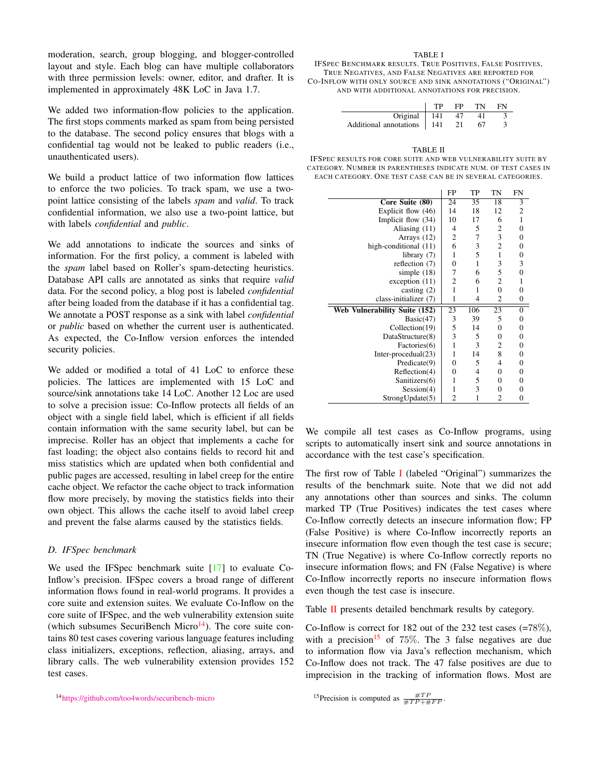moderation, search, group blogging, and blogger-controlled layout and style. Each blog can have multiple collaborators with three permission levels: owner, editor, and drafter. It is implemented in approximately 48K LoC in Java 1.7.

We added two information-flow policies to the application. The first stops comments marked as spam from being persisted to the database. The second policy ensures that blogs with a confidential tag would not be leaked to public readers (i.e., unauthenticated users).

We build a product lattice of two information flow lattices to enforce the two policies. To track spam, we use a twopoint lattice consisting of the labels *spam* and *valid*. To track confidential information, we also use a two-point lattice, but with labels *confidential* and *public*.

We add annotations to indicate the sources and sinks of information. For the first policy, a comment is labeled with the *spam* label based on Roller's spam-detecting heuristics. Database API calls are annotated as sinks that require *valid* data. For the second policy, a blog post is labeled *confidential* after being loaded from the database if it has a confidential tag. We annotate a POST response as a sink with label *confidential* or *public* based on whether the current user is authenticated. As expected, the Co-Inflow version enforces the intended security policies.

We added or modified a total of 41 LoC to enforce these policies. The lattices are implemented with 15 LoC and source/sink annotations take 14 LoC. Another 12 Loc are used to solve a precision issue: Co-Inflow protects all fields of an object with a single field label, which is efficient if all fields contain information with the same security label, but can be imprecise. Roller has an object that implements a cache for fast loading; the object also contains fields to record hit and miss statistics which are updated when both confidential and public pages are accessed, resulting in label creep for the entire cache object. We refactor the cache object to track information flow more precisely, by moving the statistics fields into their own object. This allows the cache itself to avoid label creep and prevent the false alarms caused by the statistics fields.

## *D. IFSpec benchmark*

We used the IFSpec benchmark suite [\[17\]](#page-13-8) to evaluate Co-Inflow's precision. IFSpec covers a broad range of different information flows found in real-world programs. It provides a core suite and extension suites. We evaluate Co-Inflow on the core suite of IFSpec, and the web vulnerability extension suite (which subsumes SecuriBench Micro $14$ ). The core suite contains 80 test cases covering various language features including class initializers, exceptions, reflection, aliasing, arrays, and library calls. The web vulnerability extension provides 152 test cases.

<span id="page-10-0"></span><sup>14</sup><https://github.com/too4words/securibench-micro>

#### TABLE I

<span id="page-10-1"></span>IFSPEC BENCHMARK RESULTS. TRUE POSITIVES, FALSE POSITIVES, TRUE NEGATIVES, AND FALSE NEGATIVES ARE REPORTED FOR CO-INFLOW WITH ONLY SOURCE AND SINK ANNOTATIONS ("ORIGINAL") AND WITH ADDITIONAL ANNOTATIONS FOR PRECISION.

|                              | TР | FP   | TN | FN |
|------------------------------|----|------|----|----|
| Original $\vert$ 141         |    |      |    |    |
| Additional annotations   141 |    | - 21 |    |    |

 $\overline{\phantom{0}}$ 

<span id="page-10-2"></span>

| TABLE II                                                       |
|----------------------------------------------------------------|
| IFSPEC RESULTS FOR CORE SUITE AND WEB VULNERABILITY SUITE BY   |
| CATEGORY, NUMBER IN PARENTHESES INDICATE NUM, OF TEST CASES IN |
| EACH CATEGORY, ONE TEST CASE CAN BE IN SEVERAL CATEGORIES.     |

|                               | FP             | TP           | TN             | FN |
|-------------------------------|----------------|--------------|----------------|----|
| Core Suite (80)               | 24             | 35           | 18             | 3  |
| Explicit flow (46)            | 14             | 18           | 12             | 2  |
| Implicit flow (34)            | 10             | 17           | 6              | 1  |
| Aliasing (11)                 | 4              | 5            | 2              | 0  |
| Arrays (12)                   | $\mathfrak{2}$ | 7            | 3              | 0  |
| high-conditional (11)         | 6              | 3            | $\overline{c}$ | 0  |
| library (7)                   | 1              | 5            | $\mathbf{1}$   | 0  |
| reflection (7)                | $\overline{0}$ | $\mathbf{1}$ | 3              | 3  |
| simple $(18)$                 | 7              | 6            | 5              | 0  |
| exception $(11)$              | 2              | 6            | $\mathfrak{2}$ | 1  |
| casting $(2)$                 | 1              | 1            | $\mathbf{0}$   | 0  |
| class-initializer (7)         | 1              | 4            | 2              | 0  |
| Web Vulnerability Suite (152) | 23             | 106          | 23             | 0  |
| Basic(47)                     | 3              | 39           | 5              | 0  |
| Collection(19)                | 5              | 14           | 0              | 0  |
| DataStructure(8)              | 3              | 5            | $\overline{0}$ | 0  |
| Factories(6)                  | 1              | 3            | 2              | 0  |
| Inter-procedual(23)           | 1              | 14           | 8              | 0  |
| Predicate(9)                  | 0              | 5            | $\overline{4}$ | 0  |
| Reflection(4)                 | 0              | 4            | $\overline{0}$ | 0  |
| Sanitizers(6)                 | 1              | 5            | $\mathbf{0}$   | 0  |
| Session(4)                    | 1              | 3            | $\overline{0}$ | 0  |
| StrongUpdate(5)               | $\overline{c}$ | 1            | 2              | 0  |

We compile all test cases as Co-Inflow programs, using scripts to automatically insert sink and source annotations in accordance with the test case's specification.

The first row of Table [I](#page-10-1) (labeled "Original") summarizes the results of the benchmark suite. Note that we did not add any annotations other than sources and sinks. The column marked TP (True Positives) indicates the test cases where Co-Inflow correctly detects an insecure information flow; FP (False Positive) is where Co-Inflow incorrectly reports an insecure information flow even though the test case is secure; TN (True Negative) is where Co-Inflow correctly reports no insecure information flows; and FN (False Negative) is where Co-Inflow incorrectly reports no insecure information flows even though the test case is insecure.

Table [II](#page-10-2) presents detailed benchmark results by category.

Co-Inflow is correct for 182 out of the 232 test cases (=78%), with a precision<sup>[15](#page-10-3)</sup> of 75%. The 3 false negatives are due to information flow via Java's reflection mechanism, which Co-Inflow does not track. The 47 false positives are due to imprecision in the tracking of information flows. Most are

```
<sup>15</sup>Precision is computed as \frac{\#TP}{\#TP+\#FP}.
```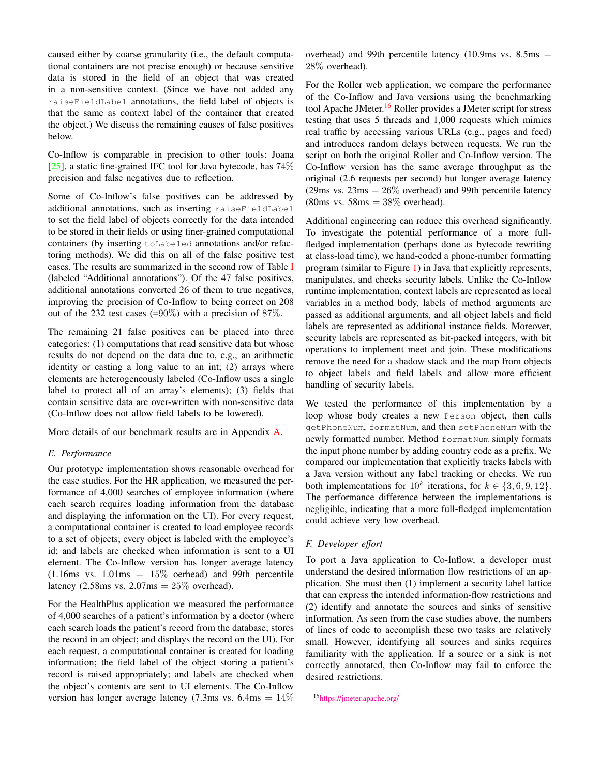caused either by coarse granularity (i.e., the default computational containers are not precise enough) or because sensitive data is stored in the field of an object that was created in a non-sensitive context. (Since we have not added any raiseFieldLabel annotations, the field label of objects is that the same as context label of the container that created the object.) We discuss the remaining causes of false positives below.

Co-Inflow is comparable in precision to other tools: Joana  $[25]$ , a static fine-grained IFC tool for Java bytecode, has  $74\%$ precision and false negatives due to reflection.

Some of Co-Inflow's false positives can be addressed by additional annotations, such as inserting raiseFieldLabel to set the field label of objects correctly for the data intended to be stored in their fields or using finer-grained computational containers (by inserting toLabeled annotations and/or refactoring methods). We did this on all of the false positive test cases. The results are summarized in the second row of Table [I](#page-10-1) (labeled "Additional annotations"). Of the 47 false positives, additional annotations converted 26 of them to true negatives, improving the precision of Co-Inflow to being correct on 208 out of the 232 test cases (=90%) with a precision of 87%.

The remaining 21 false positives can be placed into three categories: (1) computations that read sensitive data but whose results do not depend on the data due to, e.g., an arithmetic identity or casting a long value to an int; (2) arrays where elements are heterogeneously labeled (Co-Inflow uses a single label to protect all of an array's elements); (3) fields that contain sensitive data are over-written with non-sensitive data (Co-Inflow does not allow field labels to be lowered).

More details of our benchmark results are in Appendix [A.](#page-14-2)

## *E. Performance*

Our prototype implementation shows reasonable overhead for the case studies. For the HR application, we measured the performance of 4,000 searches of employee information (where each search requires loading information from the database and displaying the information on the UI). For every request, a computational container is created to load employee records to a set of objects; every object is labeled with the employee's id; and labels are checked when information is sent to a UI element. The Co-Inflow version has longer average latency  $(1.16 \text{ms vs. } 1.01 \text{ms} = 15\% \text{ oerhead})$  and 99th percentile latency (2.58ms vs.  $2.07 \text{ms} = 25\%$  overhead).

For the HealthPlus application we measured the performance of 4,000 searches of a patient's information by a doctor (where each search loads the patient's record from the database; stores the record in an object; and displays the record on the UI). For each request, a computational container is created for loading information; the field label of the object storing a patient's record is raised appropriately; and labels are checked when the object's contents are sent to UI elements. The Co-Inflow version has longer average latency (7.3ms vs.  $6.4 \text{ms} = 14\%$ 

overhead) and 99th percentile latency (10.9ms vs.  $8.5 \text{ms}$  = 28% overhead).

For the Roller web application, we compare the performance of the Co-Inflow and Java versions using the benchmarking tool Apache JMeter.[16](#page-11-0) Roller provides a JMeter script for stress testing that uses 5 threads and 1,000 requests which mimics real traffic by accessing various URLs (e.g., pages and feed) and introduces random delays between requests. We run the script on both the original Roller and Co-Inflow version. The Co-Inflow version has the same average throughput as the original (2.6 requests per second) but longer average latency  $(29 \text{ms vs. } 23 \text{ms} = 26\% \text{ overhead})$  and 99th percentile latency  $(80 \text{ms vs. } 58 \text{ms} = 38\% \text{ overhead}).$ 

Additional engineering can reduce this overhead significantly. To investigate the potential performance of a more fullfledged implementation (perhaps done as bytecode rewriting at class-load time), we hand-coded a phone-number formatting program (similar to Figure [1\)](#page-1-1) in Java that explicitly represents, manipulates, and checks security labels. Unlike the Co-Inflow runtime implementation, context labels are represented as local variables in a method body, labels of method arguments are passed as additional arguments, and all object labels and field labels are represented as additional instance fields. Moreover, security labels are represented as bit-packed integers, with bit operations to implement meet and join. These modifications remove the need for a shadow stack and the map from objects to object labels and field labels and allow more efficient handling of security labels.

We tested the performance of this implementation by a loop whose body creates a new Person object, then calls getPhoneNum, formatNum, and then setPhoneNum with the newly formatted number. Method formatNum simply formats the input phone number by adding country code as a prefix. We compared our implementation that explicitly tracks labels with a Java version without any label tracking or checks. We run both implementations for  $10^k$  iterations, for  $k \in \{3, 6, 9, 12\}$ . The performance difference between the implementations is negligible, indicating that a more full-fledged implementation could achieve very low overhead.

## *F. Developer effort*

To port a Java application to Co-Inflow, a developer must understand the desired information flow restrictions of an application. She must then (1) implement a security label lattice that can express the intended information-flow restrictions and (2) identify and annotate the sources and sinks of sensitive information. As seen from the case studies above, the numbers of lines of code to accomplish these two tasks are relatively small. However, identifying all sources and sinks requires familiarity with the application. If a source or a sink is not correctly annotated, then Co-Inflow may fail to enforce the desired restrictions.

<span id="page-11-0"></span><sup>16</sup><https://jmeter.apache.org/>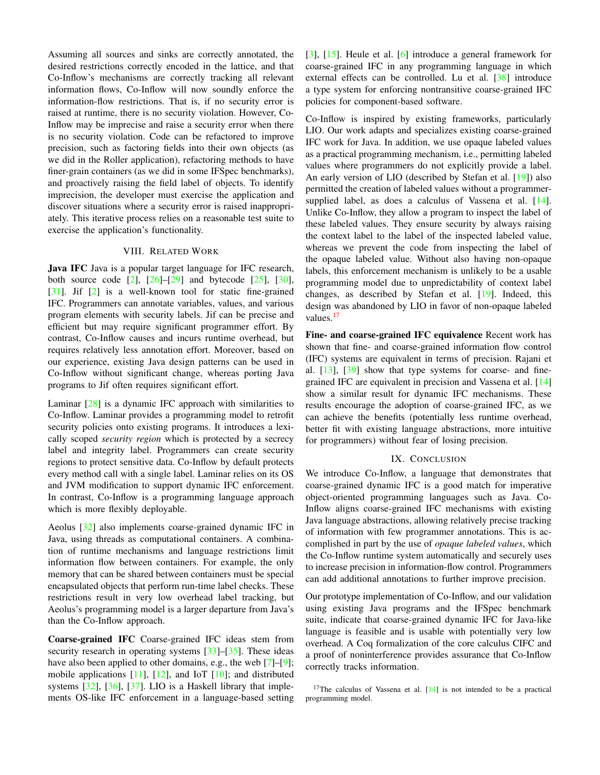Assuming all sources and sinks are correctly annotated, the desired restrictions correctly encoded in the lattice, and that Co-Inflow's mechanisms are correctly tracking all relevant information flows, Co-Inflow will now soundly enforce the information-flow restrictions. That is, if no security error is raised at runtime, there is no security violation. However, Co-Inflow may be imprecise and raise a security error when there is no security violation. Code can be refactored to improve precision, such as factoring fields into their own objects (as we did in the Roller application), refactoring methods to have finer-grain containers (as we did in some IFSpec benchmarks), and proactively raising the field label of objects. To identify imprecision, the developer must exercise the application and discover situations where a security error is raised inappropriately. This iterative process relies on a reasonable test suite to exercise the application's functionality.

#### VIII. RELATED WORK

Java IFC Java is a popular target language for IFC research, both source code  $[2]$ ,  $[26]$ – $[29]$  and bytecode  $[25]$ ,  $[30]$ , [\[31\]](#page-13-22). Jif [\[2\]](#page-13-18) is a well-known tool for static fine-grained IFC. Programmers can annotate variables, values, and various program elements with security labels. Jif can be precise and efficient but may require significant programmer effort. By contrast, Co-Inflow causes and incurs runtime overhead, but requires relatively less annotation effort. Moreover, based on our experience, existing Java design patterns can be used in Co-Inflow without significant change, whereas porting Java programs to Jif often requires significant effort.

Laminar [\[28\]](#page-13-23) is a dynamic IFC approach with similarities to Co-Inflow. Laminar provides a programming model to retrofit security policies onto existing programs. It introduces a lexically scoped *security region* which is protected by a secrecy label and integrity label. Programmers can create security regions to protect sensitive data. Co-Inflow by default protects every method call with a single label. Laminar relies on its OS and JVM modification to support dynamic IFC enforcement. In contrast, Co-Inflow is a programming language approach which is more flexibly deployable.

Aeolus [\[32\]](#page-13-24) also implements coarse-grained dynamic IFC in Java, using threads as computational containers. A combination of runtime mechanisms and language restrictions limit information flow between containers. For example, the only memory that can be shared between containers must be special encapsulated objects that perform run-time label checks. These restrictions result in very low overhead label tracking, but Aeolus's programming model is a larger departure from Java's than the Co-Inflow approach.

Coarse-grained IFC Coarse-grained IFC ideas stem from security research in operating systems [\[33\]](#page-13-25)–[\[35\]](#page-14-3). These ideas have also been applied to other domains, e.g., the web [\[7\]](#page-13-10)–[\[9\]](#page-13-26); mobile applications [\[11\]](#page-13-27), [\[12\]](#page-13-1), and IoT [\[10\]](#page-13-28); and distributed systems [\[32\]](#page-13-24), [\[36\]](#page-14-4), [\[37\]](#page-14-5). LIO is a Haskell library that implements OS-like IFC enforcement in a language-based setting [\[3\]](#page-13-5), [\[15\]](#page-13-6). Heule et al. [\[6\]](#page-13-2) introduce a general framework for coarse-grained IFC in any programming language in which external effects can be controlled. Lu et al. [\[38\]](#page-14-6) introduce a type system for enforcing nontransitive coarse-grained IFC policies for component-based software.

Co-Inflow is inspired by existing frameworks, particularly LIO. Our work adapts and specializes existing coarse-grained IFC work for Java. In addition, we use opaque labeled values as a practical programming mechanism, i.e., permitting labeled values where programmers do not explicitly provide a label. An early version of LIO (described by Stefan et al. [\[19\]](#page-13-11)) also permitted the creation of labeled values without a programmer-supplied label, as does a calculus of Vassena et al. [\[14\]](#page-13-4). Unlike Co-Inflow, they allow a program to inspect the label of these labeled values. They ensure security by always raising the context label to the label of the inspected labeled value, whereas we prevent the code from inspecting the label of the opaque labeled value. Without also having non-opaque labels, this enforcement mechanism is unlikely to be a usable programming model due to unpredictability of context label changes, as described by Stefan et al. [\[19\]](#page-13-11). Indeed, this design was abandoned by LIO in favor of non-opaque labeled values.<sup>[17](#page-12-0)</sup>

Fine- and coarse-grained IFC equivalence Recent work has shown that fine- and coarse-grained information flow control (IFC) systems are equivalent in terms of precision. Rajani et al. [\[13\]](#page-13-3), [\[39\]](#page-14-7) show that type systems for coarse- and finegrained IFC are equivalent in precision and Vassena et al. [\[14\]](#page-13-4) show a similar result for dynamic IFC mechanisms. These results encourage the adoption of coarse-grained IFC, as we can achieve the benefits (potentially less runtime overhead, better fit with existing language abstractions, more intuitive for programmers) without fear of losing precision.

## IX. CONCLUSION

We introduce Co-Inflow, a language that demonstrates that coarse-grained dynamic IFC is a good match for imperative object-oriented programming languages such as Java. Co-Inflow aligns coarse-grained IFC mechanisms with existing Java language abstractions, allowing relatively precise tracking of information with few programmer annotations. This is accomplished in part by the use of *opaque labeled values*, which the Co-Inflow runtime system automatically and securely uses to increase precision in information-flow control. Programmers can add additional annotations to further improve precision.

Our prototype implementation of Co-Inflow, and our validation using existing Java programs and the IFSpec benchmark suite, indicate that coarse-grained dynamic IFC for Java-like language is feasible and is usable with potentially very low overhead. A Coq formalization of the core calculus CIFC and a proof of noninterference provides assurance that Co-Inflow correctly tracks information.

<span id="page-12-0"></span> $17$ The calculus of Vassena et al.  $[14]$  is not intended to be a practical programming model.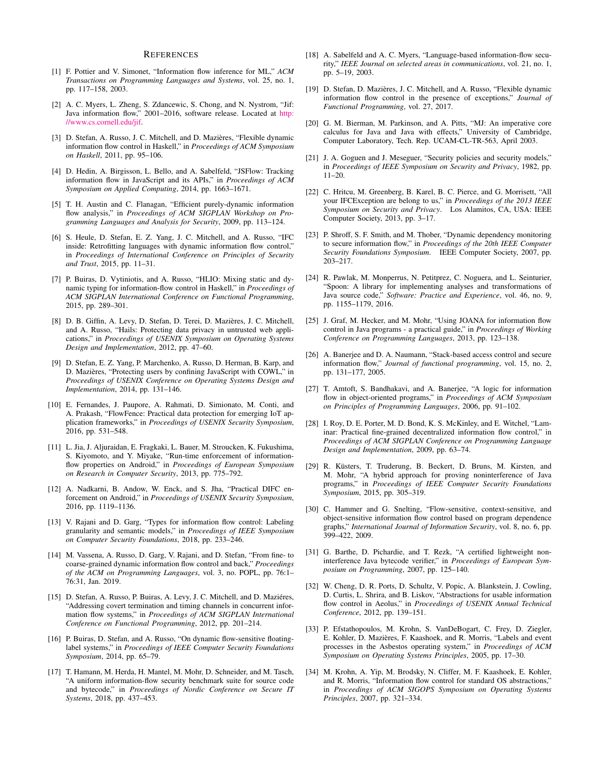#### **REFERENCES**

- <span id="page-13-0"></span>[1] F. Pottier and V. Simonet, "Information flow inference for ML," *ACM Transactions on Programming Languages and Systems*, vol. 25, no. 1, pp. 117–158, 2003.
- <span id="page-13-18"></span>[2] A. C. Myers, L. Zheng, S. Zdancewic, S. Chong, and N. Nystrom, "Jif: Java information flow," 2001–2016, software release. Located at [http:](http://www.cs.cornell.edu/jif) [//www.cs.cornell.edu/jif.](http://www.cs.cornell.edu/jif)
- <span id="page-13-5"></span>[3] D. Stefan, A. Russo, J. C. Mitchell, and D. Mazières, "Flexible dynamic information flow control in Haskell," in *Proceedings of ACM Symposium on Haskell*, 2011, pp. 95–106.
- [4] D. Hedin, A. Birgisson, L. Bello, and A. Sabelfeld, "JSFlow: Tracking information flow in JavaScript and its APIs," in *Proceedings of ACM Symposium on Applied Computing*, 2014, pp. 1663–1671.
- [5] T. H. Austin and C. Flanagan, "Efficient purely-dynamic information flow analysis," in *Proceedings of ACM SIGPLAN Workshop on Programming Languages and Analysis for Security*, 2009, pp. 113–124.
- <span id="page-13-2"></span>[6] S. Heule, D. Stefan, E. Z. Yang, J. C. Mitchell, and A. Russo, "IFC inside: Retrofitting languages with dynamic information flow control," in *Proceedings of International Conference on Principles of Security and Trust*, 2015, pp. 11–31.
- <span id="page-13-10"></span>[7] P. Buiras, D. Vytiniotis, and A. Russo, "HLIO: Mixing static and dynamic typing for information-flow control in Haskell," in *Proceedings of ACM SIGPLAN International Conference on Functional Programming*, 2015, pp. 289–301.
- [8] D. B. Giffin, A. Levy, D. Stefan, D. Terei, D. Mazières, J. C. Mitchell, and A. Russo, "Hails: Protecting data privacy in untrusted web applications," in *Proceedings of USENIX Symposium on Operating Systems Design and Implementation*, 2012, pp. 47–60.
- <span id="page-13-26"></span>[9] D. Stefan, E. Z. Yang, P. Marchenko, A. Russo, D. Herman, B. Karp, and D. Mazières, "Protecting users by confining JavaScript with COWL," in *Proceedings of USENIX Conference on Operating Systems Design and Implementation*, 2014, pp. 131–146.
- <span id="page-13-28"></span>[10] E. Fernandes, J. Paupore, A. Rahmati, D. Simionato, M. Conti, and A. Prakash, "FlowFence: Practical data protection for emerging IoT application frameworks," in *Proceedings of USENIX Security Symposium*, 2016, pp. 531–548.
- <span id="page-13-27"></span>[11] L. Jia, J. Aljuraidan, E. Fragkaki, L. Bauer, M. Stroucken, K. Fukushima, S. Kiyomoto, and Y. Miyake, "Run-time enforcement of informationflow properties on Android," in *Proceedings of European Symposium on Research in Computer Security*, 2013, pp. 775–792.
- <span id="page-13-1"></span>[12] A. Nadkarni, B. Andow, W. Enck, and S. Jha, "Practical DIFC enforcement on Android," in *Proceedings of USENIX Security Symposium*, 2016, pp. 1119–1136.
- <span id="page-13-3"></span>[13] V. Rajani and D. Garg, "Types for information flow control: Labeling granularity and semantic models," in *Proceedings of IEEE Symposium on Computer Security Foundations*, 2018, pp. 233–246.
- <span id="page-13-4"></span>[14] M. Vassena, A. Russo, D. Garg, V. Rajani, and D. Stefan, "From fine- to coarse-grained dynamic information flow control and back," *Proceedings of the ACM on Programming Languages*, vol. 3, no. POPL, pp. 76:1– 76:31, Jan. 2019.
- <span id="page-13-6"></span>[15] D. Stefan, A. Russo, P. Buiras, A. Levy, J. C. Mitchell, and D. Maziéres, "Addressing covert termination and timing channels in concurrent information flow systems," in *Proceedings of ACM SIGPLAN International Conference on Functional Programming*, 2012, pp. 201–214.
- <span id="page-13-7"></span>[16] P. Buiras, D. Stefan, and A. Russo, "On dynamic flow-sensitive floatinglabel systems," in *Proceedings of IEEE Computer Security Foundations Symposium*, 2014, pp. 65–79.
- <span id="page-13-8"></span>[17] T. Hamann, M. Herda, H. Mantel, M. Mohr, D. Schneider, and M. Tasch, "A uniform information-flow security benchmark suite for source code and bytecode," in *Proceedings of Nordic Conference on Secure IT Systems*, 2018, pp. 437–453.
- <span id="page-13-9"></span>[18] A. Sabelfeld and A. C. Myers, "Language-based information-flow security," *IEEE Journal on selected areas in communications*, vol. 21, no. 1, pp. 5–19, 2003.
- <span id="page-13-11"></span>[19] D. Stefan, D. Mazières, J. C. Mitchell, and A. Russo, "Flexible dynamic information flow control in the presence of exceptions," *Journal of Functional Programming*, vol. 27, 2017.
- <span id="page-13-12"></span>[20] G. M. Bierman, M. Parkinson, and A. Pitts, "MJ: An imperative core calculus for Java and Java with effects," University of Cambridge, Computer Laboratory, Tech. Rep. UCAM-CL-TR-563, April 2003.
- <span id="page-13-13"></span>[21] J. A. Goguen and J. Meseguer, "Security policies and security models," in *Proceedings of IEEE Symposium on Security and Privacy*, 1982, pp. 11–20.
- <span id="page-13-14"></span>[22] C. Hritcu, M. Greenberg, B. Karel, B. C. Pierce, and G. Morrisett, "All your IFCException are belong to us," in *Proceedings of the 2013 IEEE Symposium on Security and Privacy*. Los Alamitos, CA, USA: IEEE Computer Society, 2013, pp. 3–17.
- <span id="page-13-15"></span>[23] P. Shroff, S. F. Smith, and M. Thober, "Dynamic dependency monitoring to secure information flow," in *Proceedings of the 20th IEEE Computer Security Foundations Symposium*. IEEE Computer Society, 2007, pp. 203–217.
- <span id="page-13-16"></span>[24] R. Pawlak, M. Monperrus, N. Petitprez, C. Noguera, and L. Seinturier, "Spoon: A library for implementing analyses and transformations of Java source code," *Software: Practice and Experience*, vol. 46, no. 9, pp. 1155–1179, 2016.
- <span id="page-13-17"></span>[25] J. Graf, M. Hecker, and M. Mohr, "Using JOANA for information flow control in Java programs - a practical guide," in *Proceedings of Working Conference on Programming Languages*, 2013, pp. 123–138.
- <span id="page-13-19"></span>[26] A. Banerjee and D. A. Naumann, "Stack-based access control and secure information flow," *Journal of functional programming*, vol. 15, no. 2, pp. 131–177, 2005.
- [27] T. Amtoft, S. Bandhakavi, and A. Banerjee, "A logic for information flow in object-oriented programs," in *Proceedings of ACM Symposium on Principles of Programming Languages*, 2006, pp. 91–102.
- <span id="page-13-23"></span>[28] I. Roy, D. E. Porter, M. D. Bond, K. S. McKinley, and E. Witchel, "Laminar: Practical fine-grained decentralized information flow control," in *Proceedings of ACM SIGPLAN Conference on Programming Language Design and Implementation*, 2009, pp. 63–74.
- <span id="page-13-20"></span>[29] R. Küsters, T. Truderung, B. Beckert, D. Bruns, M. Kirsten, and M. Mohr, "A hybrid approach for proving noninterference of Java programs," in *Proceedings of IEEE Computer Security Foundations Symposium*, 2015, pp. 305–319.
- <span id="page-13-21"></span>[30] C. Hammer and G. Snelting, "Flow-sensitive, context-sensitive, and object-sensitive information flow control based on program dependence graphs," *International Journal of Information Security*, vol. 8, no. 6, pp. 399–422, 2009.
- <span id="page-13-22"></span>[31] G. Barthe, D. Pichardie, and T. Rezk, "A certified lightweight noninterference Java bytecode verifier," in *Proceedings of European Symposium on Programming*, 2007, pp. 125–140.
- <span id="page-13-24"></span>[32] W. Cheng, D. R. Ports, D. Schultz, V. Popic, A. Blankstein, J. Cowling, D. Curtis, L. Shrira, and B. Liskov, "Abstractions for usable information flow control in Aeolus," in *Proceedings of USENIX Annual Technical Conference*, 2012, pp. 139–151.
- <span id="page-13-25"></span>[33] P. Efstathopoulos, M. Krohn, S. VanDeBogart, C. Frey, D. Ziegler, E. Kohler, D. Mazières, F. Kaashoek, and R. Morris, "Labels and event processes in the Asbestos operating system," in *Proceedings of ACM Symposium on Operating Systems Principles*, 2005, pp. 17–30.
- [34] M. Krohn, A. Yip, M. Brodsky, N. Cliffer, M. F. Kaashoek, E. Kohler, and R. Morris, "Information flow control for standard OS abstractions," in *Proceedings of ACM SIGOPS Symposium on Operating Systems Principles*, 2007, pp. 321–334.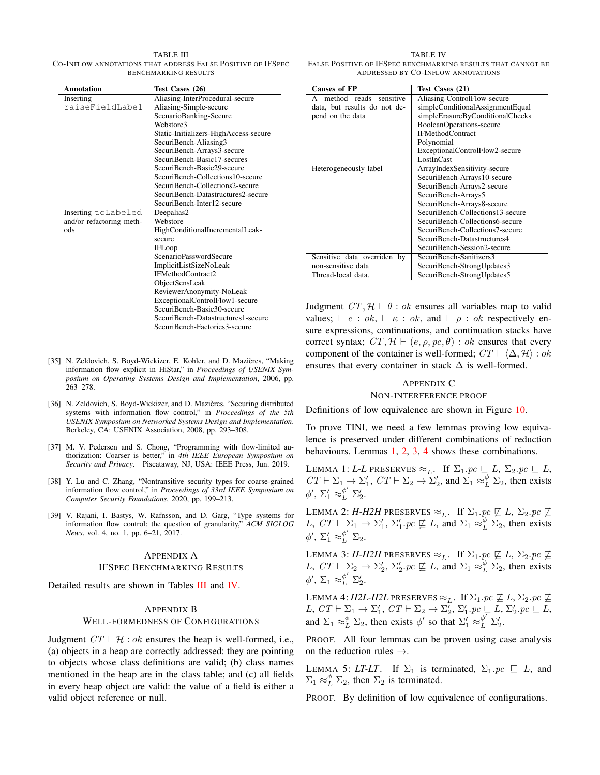<span id="page-14-8"></span>TABLE III CO-INFLOW ANNOTATIONS THAT ADDRESS FALSE POSITIVE OF IFSPEC BENCHMARKING RESULTS

| <b>Annotation</b>        | Test Cases (26)                       |
|--------------------------|---------------------------------------|
| Inserting                | Aliasing-InterProcedural-secure       |
| raiseFieldLabel          | Aliasing-Simple-secure                |
|                          | ScenarioBanking-Secure                |
|                          | Webstore3                             |
|                          | Static-Initializers-HighAccess-secure |
|                          | SecuriBench-Aliasing3                 |
|                          | SecuriBench-Arrays3-secure            |
|                          | SecuriBench-Basic17-secures           |
|                          | SecuriBench-Basic29-secure            |
|                          | SecuriBench-Collections10-secure      |
|                          | SecuriBench-Collections2-secure       |
|                          | SecuriBench-Datastructures2-secure    |
|                          | SecuriBench-Inter12-secure            |
| Inserting toLabeled      | Deepalias2                            |
| and/or refactoring meth- | Webstore                              |
| ods                      | HighConditionalIncrementalLeak-       |
|                          | secure                                |
|                          | <b>IFLoop</b>                         |
|                          | ScenarioPasswordSecure                |
|                          | ImplicitListSizeNoLeak                |
|                          | IFMethodContract2                     |
|                          | ObjectSensLeak                        |
|                          | ReviewerAnonymity-NoLeak              |
|                          | ExceptionalControlFlow1-secure        |
|                          | SecuriBench-Basic30-secure            |
|                          | SecuriBench-Datastructures1-secure    |
|                          | SecuriBench-Factories3-secure         |

- <span id="page-14-3"></span>[35] N. Zeldovich, S. Boyd-Wickizer, E. Kohler, and D. Mazières, "Making information flow explicit in HiStar," in *Proceedings of USENIX Symposium on Operating Systems Design and Implementation*, 2006, pp. 263–278.
- <span id="page-14-4"></span>[36] N. Zeldovich, S. Boyd-Wickizer, and D. Mazières, "Securing distributed systems with information flow control," in *Proceedings of the 5th USENIX Symposium on Networked Systems Design and Implementation*. Berkeley, CA: USENIX Association, 2008, pp. 293–308.
- <span id="page-14-5"></span>[37] M. V. Pedersen and S. Chong, "Programming with flow-limited authorization: Coarser is better," in *4th IEEE European Symposium on Security and Privacy*. Piscataway, NJ, USA: IEEE Press, Jun. 2019.
- <span id="page-14-6"></span>[38] Y. Lu and C. Zhang, "Nontransitive security types for coarse-grained information flow control," in *Proceedings of 33rd IEEE Symposium on Computer Security Foundations*, 2020, pp. 199–213.
- <span id="page-14-7"></span>[39] V. Rajani, I. Bastys, W. Rafnsson, and D. Garg, "Type systems for information flow control: the question of granularity," *ACM SIGLOG News*, vol. 4, no. 1, pp. 6–21, 2017.

#### <span id="page-14-2"></span>APPENDIX A

#### IFSPEC BENCHMARKING RESULTS

Detailed results are shown in Tables [III](#page-14-8) and [IV.](#page-14-9)

#### <span id="page-14-0"></span>APPENDIX B

#### WELL-FORMEDNESS OF CONFIGURATIONS

Judgment  $CT \vdash \mathcal{H} : ok$  ensures the heap is well-formed, i.e., (a) objects in a heap are correctly addressed: they are pointing to objects whose class definitions are valid; (b) class names mentioned in the heap are in the class table; and (c) all fields in every heap object are valid: the value of a field is either a valid object reference or null.

<span id="page-14-9"></span>

| <b>Causes of FP</b>          | Test Cases (21)                  |
|------------------------------|----------------------------------|
| method reads sensitive       | Aliasing-ControlFlow-secure      |
| data, but results do not de- | simpleConditionalAssignmentEqual |
| pend on the data             | simpleErasureByConditionalChecks |
|                              | BooleanOperations-secure         |
|                              | <b>IFMethodContract</b>          |
|                              | Polynomial                       |
|                              | ExceptionalControlFlow2-secure   |
|                              | LostInCast                       |
| Heterogeneously label        | ArrayIndexSensitivity-secure     |
|                              | SecuriBench-Arrays10-secure      |
|                              | SecuriBench-Arrays2-secure       |
|                              | SecuriBench-Arrays5              |
|                              | SecuriBench-Arrays8-secure       |
|                              | SecuriBench-Collections13-secure |
|                              | SecuriBench-Collections6-secure  |
|                              | SecuriBench-Collections7-secure  |
|                              | SecuriBench-Datastructures4      |
|                              | SecuriBench-Session2-secure      |
| Sensitive data overriden by  | SecuriBench-Sanitizers3          |
| non-sensitive data           | SecuriBench-StrongUpdates3       |
| Thread-local data.           | SecuriBench-StrongUpdates5       |

Judgment  $CT$ ,  $H \vdash \theta : \alpha k$  ensures all variables map to valid values;  $\vdash e : ok, \vdash \kappa : ok$ , and  $\vdash \rho : ok$  respectively ensure expressions, continuations, and continuation stacks have correct syntax;  $CT, \mathcal{H} \vdash (e, \rho, pc, \theta) : ok$  ensures that every component of the container is well-formed;  $CT \vdash \langle \Delta, \mathcal{H} \rangle : ok$ ensures that every container in stack  $\Delta$  is well-formed.

#### <span id="page-14-1"></span>APPENDIX C

## NON-INTERFERENCE PROOF

Definitions of low equivalence are shown in Figure [10.](#page-15-2)

To prove TINI, we need a few lemmas proving low equivalence is preserved under different combinations of reduction behaviours. Lemmas [1,](#page-14-10) [2,](#page-14-11) [3,](#page-14-12) [4](#page-14-13) shows these combinations.

<span id="page-14-10"></span>LEMMA 1: *L-L* PRESERVES  $\approx_L$ . If  $\Sigma_1$ .  $pc \sqsubseteq L$ ,  $\Sigma_2$ .  $pc \sqsubseteq L$ ,  $CT \vdash \Sigma_1 \rightarrow \Sigma_1', \, CT \vdash \Sigma_2 \rightarrow \Sigma_2', \, \text{and } \Sigma_1 \approx_L^{\phi} \Sigma_2, \, \text{then exists}$  $\phi'$ ,  $\Sigma'_1 \approx_L^{\phi'} \Sigma'_2$ .

<span id="page-14-11"></span>LEMMA 2: *H-H2H* PRESERVES  $\approx_L$ . If  $\Sigma_1.p c \not\sqsubseteq L$ ,  $\Sigma_2.p c \not\sqsubseteq L$ L,  $CT \vdash \sum_1 \rightarrow \sum'_1$ ,  $\Sigma'_1$ ,  $pc \not\sqsubseteq L$ , and  $\Sigma_1 \approx^{\phi}_L \Sigma_2$ , then exists  $\phi'$ ,  $\Sigma'_1 \approx_L^{\phi'} \Sigma_2$ .

<span id="page-14-12"></span>LEMMA 3: *H-H2H* PRESERVES  $\approx_L$ . If  $\Sigma_1.p c \not\sqsubseteq L$ ,  $\Sigma_2.p c \not\sqsubseteq L$ L,  $CT \vdash \sum_2 \rightarrow \sum_2', \sum_2' . pc \not\sqsubseteq L$ , and  $\Sigma_1 \approx_L^{\phi} \Sigma_2$ , then exists  $\phi'$ ,  $\Sigma_1 \approx_L^{\phi'} \Sigma'_2$ .

<span id="page-14-13"></span>Lemma 4: *H2L-H2L* preserves  $\approx_L$ . If  $\Sigma_1$ .*pc*  $\not\sqsubseteq L$ *,*  $\Sigma_2$ *.pc*  $\not\sqsubseteq$ L,  $CT \vdash \Sigma_1 \rightarrow \Sigma'_1$ ,  $CT \vdash \Sigma_2 \rightarrow \Sigma'_2$ ,  $\Sigma'_1$ ,  $pc \sqsubseteq L$ ,  $\Sigma'_2$ ,  $pc \sqsubseteq L$ , and  $\Sigma_1 \approx_L^{\phi} \Sigma_2$ , then exists  $\phi'$  so that  $\Sigma_1' \approx_L^{\phi'} \Sigma_2'$ .

PROOF. All four lemmas can be proven using case analysis on the reduction rules  $\rightarrow$ .

<span id="page-14-14"></span>LEMMA 5: *LT-LT*. If  $\Sigma_1$  is terminated,  $\Sigma_1$ .  $pc \subseteq L$ , and  $\Sigma_1 \approx_L^{\phi} \Sigma_2$ , then  $\Sigma_2$  is terminated.

PROOF. By definition of low equivalence of configurations.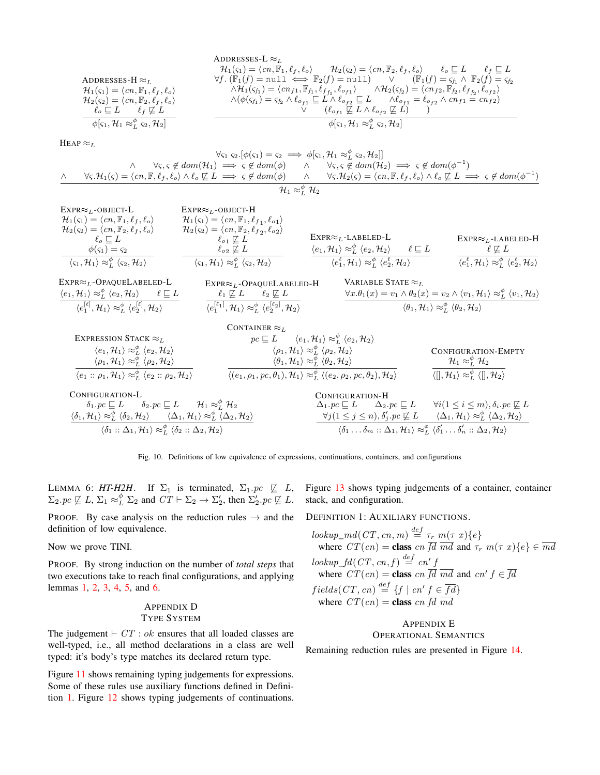| ADDRESSES-L                                                      | ADDRESSES-L                                                                                   |                                                                                                    |                                                                   |
|------------------------------------------------------------------|-----------------------------------------------------------------------------------------------|----------------------------------------------------------------------------------------------------|-------------------------------------------------------------------|
| $H_1(s_1) = \langle cn, \mathbb{F}_1, \ell_f, \ell_o \rangle$    | $H_2(s_2) = \langle cn, \mathbb{F}_2, \ell_f, \ell_o \rangle$                                 | $\ell_o \subseteq L$                                                                               | $\ell_f \subseteq L$                                              |
| $H_1(s_1) = \langle cn, \mathbb{F}_1, \ell_f, \ell_o \rangle$    | $\forall f. (\mathbb{F}_1(f) = \text{null} \iff \mathbb{F}_2(f) = \text{null})$               | $\lor (\mathbb{F}_1(f) = s_{f_1} \land \mathbb{F}_2(f) = s_{f_2} \land \mathbb{F}_2(f)) = s_{f_2}$ |                                                                   |
| $H_2(s_2) = \langle cn, \mathbb{F}_2, \ell_f, \ell_o \rangle$    | $\land H_1(s_{f_1}) = \langle cn_{f_1}, \mathbb{F}_{f_1}, \ell_{f_1}, \ell_{o_{f_1}} \rangle$ | $\land H_2(s_{f_2}) = \langle cn_{f_2}, \mathbb{F}_{f_2}, \ell_f, \ell_{o_{f_2}} \rangle$          |                                                                   |
| $\ell_o \subseteq L$                                             | $\ell_f \subseteq L$                                                                          | $\land (\phi(s_{f_1}) = s_{f_2} \land \ell_{o_{f_1}} \subseteq L \land \ell_{o_{f_2}} \subseteq L$ | $\land \ell_{o_{f_1}} = \ell_{o_{f_2}} \land cn_{f_1} = cn_{f_2}$ |
| $\phi[s_1, \mathcal{H}_1 \approx_{L}^{\phi} s_2, \mathcal{H}_2]$ | $\phi[s_1, \mathcal{H}_1 \approx_{L}^{\phi} s_2, \mathcal{H}_2]$                              |                                                                                                    |                                                                   |

 $A$ DDDESSES-L  $\approx$ 

HEAP  $\approx_L$ 

$$
\forall s_1 \ s_2. [\phi(s_1) = s_2 \implies \phi[s_1, \mathcal{H}_1 \approx_{\mathcal{L}}^{\phi} s_2, \mathcal{H}_2]]
$$
  
\n
$$
\land \forall s, s \notin dom(\mathcal{H}_1) \implies s \notin dom(\phi) \land \forall s, s \notin dom(\mathcal{H}_2) \implies s \notin dom(\phi^{-1})
$$
  
\n
$$
\land \forall s. \mathcal{H}_1(s) = \langle cn, \mathbb{F}, \ell_f, \ell_o \rangle \land \ell_o \not\subseteq L \implies s \notin dom(\phi) \land \forall s, \mathcal{H}_2(s) = \langle cn, \mathbb{F}, \ell_f, \ell_o \rangle \land \ell_o \not\subseteq L \implies s \notin dom(\phi^{-1})
$$

$$
\mathcal{H}_1 \approx_{L}^{\phi} \mathcal{H}_2
$$

| $EXPR \approx_L$ -OBJECT-L                                                                               | $EXPR \approx_L$ -OBJECT-H                                                                               |                                                                                                        |                                                                                                        |
|----------------------------------------------------------------------------------------------------------|----------------------------------------------------------------------------------------------------------|--------------------------------------------------------------------------------------------------------|--------------------------------------------------------------------------------------------------------|
| $\mathcal{H}_1(\varsigma_1) = \langle cn, \mathbb{F}_1, \ell_f, \ell_o \rangle$                          | $\mathcal{H}_1(\varsigma_1) = \langle cn, \mathbb{F}_1, \ell_{f_1}, \ell_{o_1} \rangle$                  |                                                                                                        |                                                                                                        |
| $\mathcal{H}_2(\varsigma_2) = \langle cn, \mathbb{F}_2, \ell_f, \ell_o \rangle$                          | $\mathcal{H}_2(\varsigma_2) = \langle cn, \mathbb{F}_2, \ell_{f_2}, \ell_{o_2} \rangle$                  |                                                                                                        |                                                                                                        |
| $\ell_{\alpha} \sqsubseteq L$                                                                            | $\ell_{\alpha1} \not\sqsubseteq L$                                                                       | $EXPR \approx_L$ -LABELED-L                                                                            | $EXPR \approx_L$ -LABELED-H                                                                            |
| $\phi(\varsigma_1)=\varsigma_2$                                                                          | $\ell_{\alpha2} \not\sqsubseteq L$                                                                       | $\langle e_1, H_1 \rangle \approx_L^{\phi} \langle e_2, H_2 \rangle$<br>$\ell \sqsubset L$             | $\ell \not\sqsubseteq L$                                                                               |
| $\langle \varsigma_1, \mathcal{H}_1 \rangle \approx_L^{\phi} \langle \varsigma_2, \mathcal{H}_2 \rangle$ | $\langle \varsigma_1, \mathcal{H}_1 \rangle \approx_L^{\phi} \langle \varsigma_2, \mathcal{H}_2 \rangle$ | $\langle e_1^{\ell}, \mathcal{H}_1 \rangle \approx_L^{\phi} \langle e_2^{\ell}, \mathcal{H}_2 \rangle$ | $\langle e_1^{\ell}, \mathcal{H}_1 \rangle \approx_L^{\phi} \langle e_2^{\ell}, \mathcal{H}_2 \rangle$ |

| $\text{EXPR} \approx_L\text{-OPAQUELABELED-L}$                                                                     | $EXPR \approx_L$ -OPAQUELABELED-H                                                                              | VARIABLE STATE $\approx_L$                                                                                                                           |
|--------------------------------------------------------------------------------------------------------------------|----------------------------------------------------------------------------------------------------------------|------------------------------------------------------------------------------------------------------------------------------------------------------|
| $\langle e_1, \mathcal{H}_1 \rangle \approx_L^{\phi} \langle e_2, \mathcal{H}_2 \rangle \qquad \ell \sqsubseteq L$ | $\ell_1 \not\sqsubseteq L$ $\ell_2 \not\sqsubseteq L$                                                          | $\forall x.\theta_1(x) = v_1 \wedge \theta_2(x) = v_2 \wedge \langle v_1, \mathcal{H}_1 \rangle \approx_L^{\phi} \langle v_1, \mathcal{H}_2 \rangle$ |
| $\langle e_1^{[\ell]}, \mathcal{H}_1 \rangle \approx^\phi_L \langle e_2^{[\ell]}, \mathcal{H}_2 \rangle$           | $\langle e_1^{[\ell_1]}, \mathcal{H}_1 \rangle \approx_L^{\phi} \langle e_2^{[\ell_2]}, \mathcal{H}_2 \rangle$ | $\langle \theta_1, \mathcal{H}_1 \rangle \approx_L^{\phi} \langle \theta_2, \mathcal{H}_2 \rangle$                                                   |



Fig. 10. Definitions of low equivalence of expressions, continuations, containers, and configurations

 $\Sigma_2$ .  $pc \not\sqsubseteq L$ ,  $\Sigma_1 \approx^{\phi}_L \Sigma_2$  and  $CT \vdash \Sigma_2 \rightarrow \Sigma'_2$ , then  $\Sigma'_2$ .  $pc \not\sqsubseteq L$ . stack, and configuration.

**PROOF.** By case analysis on the reduction rules  $\rightarrow$  and the DEFINITION 1: AUXILIARY FUNCTIONS. definition of low equivalence.

Now we prove TINI.

PROOF. By strong induction on the number of *total steps* that two executions take to reach final configurations, and applying lemmas [1,](#page-14-10) [2,](#page-14-11) [3,](#page-14-12) [4,](#page-14-13) [5,](#page-14-14) and [6.](#page-15-3)

# <span id="page-15-1"></span>APPENDIX D TYPE SYSTEM

The judgement  $\vdash$  CT : ok ensures that all loaded classes are well-typed, i.e., all method declarations in a class are well typed: it's body's type matches its declared return type.

Figure [11](#page-16-0) shows remaining typing judgements for expressions. Some of these rules use auxiliary functions defined in Definition [1.](#page-15-4) Figure [12](#page-16-1) shows typing judgements of continuations.

<span id="page-15-3"></span><span id="page-15-2"></span>LEMMA 6: *HT-H2H*. If  $\Sigma_1$  is terminated,  $\Sigma_1$ .  $pc \not\sqsubseteq L$ , Figure [13](#page-16-2) shows typing judgements of a container, container

 $\overline{d} \circ f$ 

<span id="page-15-4"></span>

$$
lookup\_md(CT, cn, m) \stackrel{def}{=} \tau_r \ m(\tau \ x) \{e\}
$$
  
where  $CT(cn) = \text{class } cn \overline{fd} \overline{md} \text{ and } \tau_r \ m(\tau \ x) \{e\} \in \overline{md}$   

$$
lookup\_fd(CT, cn, f) \stackrel{def}{=} cn'f
$$
  
where  $CT(cn) = \text{class } cn \overline{fd} \overline{md} \text{ and } cn' f \in \overline{fd}$   

$$
fields (CT, cn) \stackrel{def}{=} \{f \mid cn' f \in \overline{fd}\}
$$
  
where  $CT(cn) = \text{class } cn \overline{fd} \overline{md}$ 

# <span id="page-15-0"></span>APPENDIX E OPERATIONAL SEMANTICS

Remaining reduction rules are presented in Figure [14.](#page-17-0)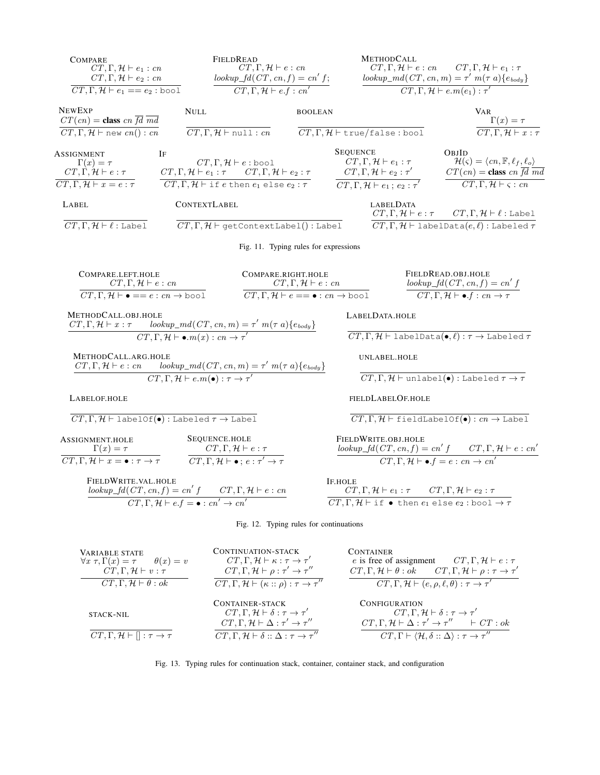<span id="page-16-0"></span>

<span id="page-16-2"></span><span id="page-16-1"></span>

| VARIABLE STATE<br>$\forall x \tau, \Gamma(x) = \tau$ $\theta(x) = v$                      | CONTINUATION-3 IACN<br>$CT, \Gamma, \mathcal{H} \vdash \kappa : \tau \rightarrow \tau'$<br>$CT, \Gamma, \mathcal{H} \vdash \rho : \tau' \rightarrow \tau''$                                                                              | UUN TAINEK<br>e is free of assignment $CT, \Gamma, \mathcal{H} \vdash e : \tau$                                                                                                                                                                                                     |
|-------------------------------------------------------------------------------------------|------------------------------------------------------------------------------------------------------------------------------------------------------------------------------------------------------------------------------------------|-------------------------------------------------------------------------------------------------------------------------------------------------------------------------------------------------------------------------------------------------------------------------------------|
| $CT, \Gamma, \mathcal{H} \vdash v : \tau$<br>$CT, \Gamma, \mathcal{H} \vdash \theta : ok$ | $CT, \Gamma, \mathcal{H} \vdash (\kappa :: \rho) : \tau \rightarrow \tau''$                                                                                                                                                              | $CT, \Gamma, \mathcal{H} \vdash \theta : ok$ $CT, \Gamma, \mathcal{H} \vdash \rho : \tau \rightarrow \tau$<br>$CT, \Gamma, \mathcal{H} \vdash (e, \rho, \ell, \theta) : \tau \rightarrow \tau'$                                                                                     |
| <b>STACK-NIL</b><br>$CT, \Gamma, \mathcal{H} \vdash    : \tau \rightarrow \tau$           | CONTAINER-STACK<br>$CT, \Gamma, \mathcal{H} \vdash \delta : \tau \rightarrow \tau'$<br>$CT, \Gamma, \mathcal{H} \vdash \Delta : \tau' \rightarrow \tau''$<br>$CT, \Gamma, \mathcal{H} \vdash \delta :: \Delta : \tau \rightarrow \tau''$ | <b>CONFIGURATION</b><br>$CT, \Gamma, \mathcal{H} \vdash \delta : \tau \rightarrow \tau'$<br>$CT, \Gamma, \mathcal{H} \vdash \Delta : \tau' \rightarrow \tau'' \qquad \vdash CT : ok$<br>$CT, \Gamma \vdash \langle \mathcal{H}, \delta :: \Delta \rangle : \tau \rightarrow \tau''$ |

 $\overline{a}$ 

Fig. 13. Typing rules for continuation stack, container, container stack, and configuration